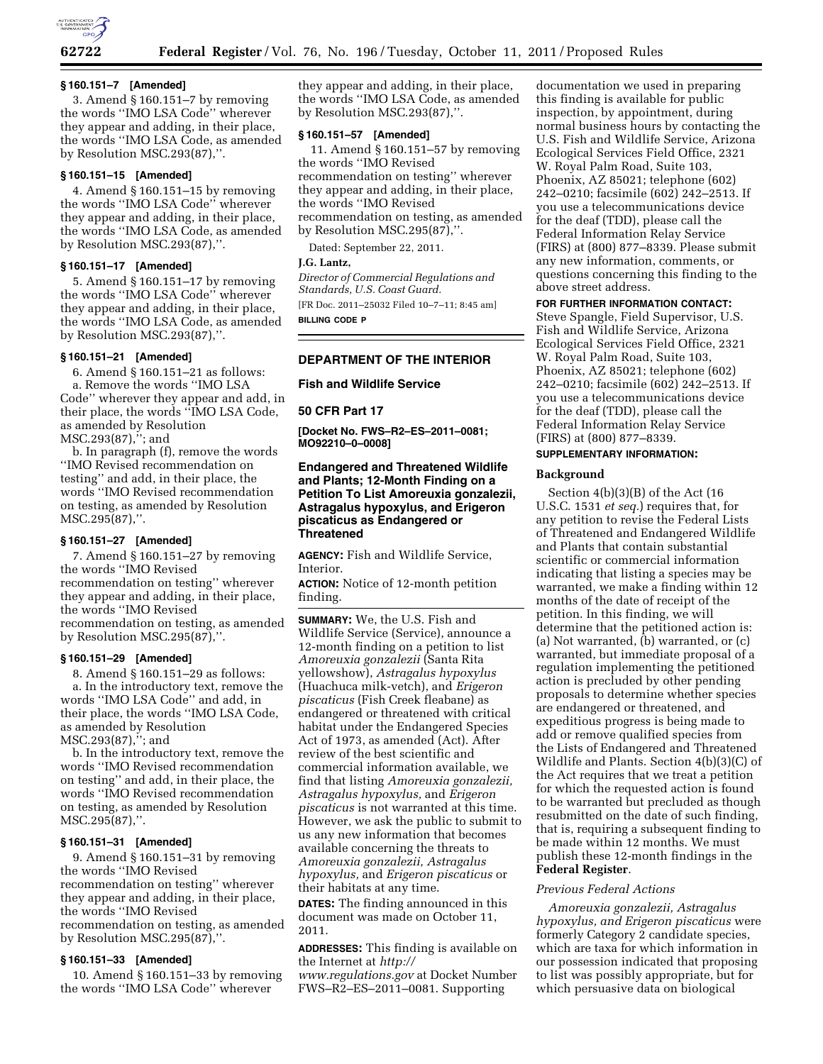

# **§ 160.151–7 [Amended]**

3. Amend § 160.151–7 by removing the words ''IMO LSA Code'' wherever they appear and adding, in their place, the words ''IMO LSA Code, as amended by Resolution MSC.293(87),''.

# **§ 160.151–15 [Amended]**

4. Amend § 160.151–15 by removing the words ''IMO LSA Code'' wherever they appear and adding, in their place, the words ''IMO LSA Code, as amended by Resolution MSC.293(87),''.

# **§ 160.151–17 [Amended]**

5. Amend § 160.151–17 by removing the words ''IMO LSA Code'' wherever they appear and adding, in their place, the words ''IMO LSA Code, as amended by Resolution MSC.293(87),''.

### **§ 160.151–21 [Amended]**

6. Amend § 160.151–21 as follows: a. Remove the words ''IMO LSA Code'' wherever they appear and add, in their place, the words ''IMO LSA Code, as amended by Resolution MSC.293(87),''; and

b. In paragraph (f), remove the words ''IMO Revised recommendation on testing'' and add, in their place, the words ''IMO Revised recommendation on testing, as amended by Resolution MSC.295(87),''.

### **§ 160.151–27 [Amended]**

7. Amend § 160.151–27 by removing the words ''IMO Revised recommendation on testing'' wherever they appear and adding, in their place, the words ''IMO Revised recommendation on testing, as amended by Resolution MSC.295(87),''.

### **§ 160.151–29 [Amended]**

8. Amend § 160.151–29 as follows: a. In the introductory text, remove the words ''IMO LSA Code'' and add, in their place, the words ''IMO LSA Code, as amended by Resolution MSC.293(87),''; and

b. In the introductory text, remove the words ''IMO Revised recommendation on testing'' and add, in their place, the words ''IMO Revised recommendation on testing, as amended by Resolution MSC.295(87),''.

# **§ 160.151–31 [Amended]**

9. Amend § 160.151–31 by removing the words ''IMO Revised recommendation on testing'' wherever they appear and adding, in their place, the words ''IMO Revised recommendation on testing, as amended by Resolution MSC.295(87),''.

# **§ 160.151–33 [Amended]**

10. Amend § 160.151–33 by removing the words ''IMO LSA Code'' wherever

they appear and adding, in their place, the words ''IMO LSA Code, as amended by Resolution MSC.293(87),''.

### **§ 160.151–57 [Amended]**

11. Amend § 160.151–57 by removing the words ''IMO Revised recommendation on testing'' wherever they appear and adding, in their place, the words ''IMO Revised recommendation on testing, as amended by Resolution MSC.295(87),''.

Dated: September 22, 2011.

# **J.G. Lantz,**

*Director of Commercial Regulations and Standards, U.S. Coast Guard.*  [FR Doc. 2011–25032 Filed 10–7–11; 8:45 am] **BILLING CODE P** 

# **DEPARTMENT OF THE INTERIOR**

**Fish and Wildlife Service** 

### **50 CFR Part 17**

**[Docket No. FWS–R2–ES–2011–0081; MO92210–0–0008]** 

# **Endangered and Threatened Wildlife and Plants; 12-Month Finding on a Petition To List Amoreuxia gonzalezii, Astragalus hypoxylus, and Erigeron piscaticus as Endangered or Threatened**

**AGENCY:** Fish and Wildlife Service, Interior.

**ACTION:** Notice of 12-month petition finding.

**SUMMARY:** We, the U.S. Fish and Wildlife Service (Service), announce a 12-month finding on a petition to list *Amoreuxia gonzalezii* (Santa Rita yellowshow), *Astragalus hypoxylus*  (Huachuca milk-vetch), and *Erigeron piscaticus* (Fish Creek fleabane) as endangered or threatened with critical habitat under the Endangered Species Act of 1973, as amended (Act). After review of the best scientific and commercial information available, we find that listing *Amoreuxia gonzalezii, Astragalus hypoxylus,* and *Erigeron piscaticus* is not warranted at this time. However, we ask the public to submit to us any new information that becomes available concerning the threats to *Amoreuxia gonzalezii, Astragalus hypoxylus,* and *Erigeron piscaticus* or their habitats at any time.

**DATES:** The finding announced in this document was made on October 11, 2011.

**ADDRESSES:** This finding is available on the Internet at *[http://](http://www.regulations.gov)* 

*[www.regulations.gov](http://www.regulations.gov)* at Docket Number FWS–R2–ES–2011–0081. Supporting

documentation we used in preparing this finding is available for public inspection, by appointment, during normal business hours by contacting the U.S. Fish and Wildlife Service, Arizona Ecological Services Field Office, 2321 W. Royal Palm Road, Suite 103, Phoenix, AZ 85021; telephone (602) 242–0210; facsimile (602) 242–2513. If you use a telecommunications device for the deaf (TDD), please call the Federal Information Relay Service (FIRS) at (800) 877–8339. Please submit any new information, comments, or questions concerning this finding to the above street address.

### **FOR FURTHER INFORMATION CONTACT:**

Steve Spangle, Field Supervisor, U.S. Fish and Wildlife Service, Arizona Ecological Services Field Office, 2321 W. Royal Palm Road, Suite 103, Phoenix, AZ 85021; telephone (602) 242–0210; facsimile (602) 242–2513. If you use a telecommunications device for the deaf (TDD), please call the Federal Information Relay Service (FIRS) at (800) 877–8339.

# **SUPPLEMENTARY INFORMATION:**

### **Background**

Section 4(b)(3)(B) of the Act (16 U.S.C. 1531 *et seq.*) requires that, for any petition to revise the Federal Lists of Threatened and Endangered Wildlife and Plants that contain substantial scientific or commercial information indicating that listing a species may be warranted, we make a finding within 12 months of the date of receipt of the petition. In this finding, we will determine that the petitioned action is: (a) Not warranted, (b) warranted, or (c) warranted, but immediate proposal of a regulation implementing the petitioned action is precluded by other pending proposals to determine whether species are endangered or threatened, and expeditious progress is being made to add or remove qualified species from the Lists of Endangered and Threatened Wildlife and Plants. Section 4(b)(3)(C) of the Act requires that we treat a petition for which the requested action is found to be warranted but precluded as though resubmitted on the date of such finding, that is, requiring a subsequent finding to be made within 12 months. We must publish these 12-month findings in the **Federal Register**.

### *Previous Federal Actions*

*Amoreuxia gonzalezii, Astragalus hypoxylus, and Erigeron piscaticus* were formerly Category 2 candidate species, which are taxa for which information in our possession indicated that proposing to list was possibly appropriate, but for which persuasive data on biological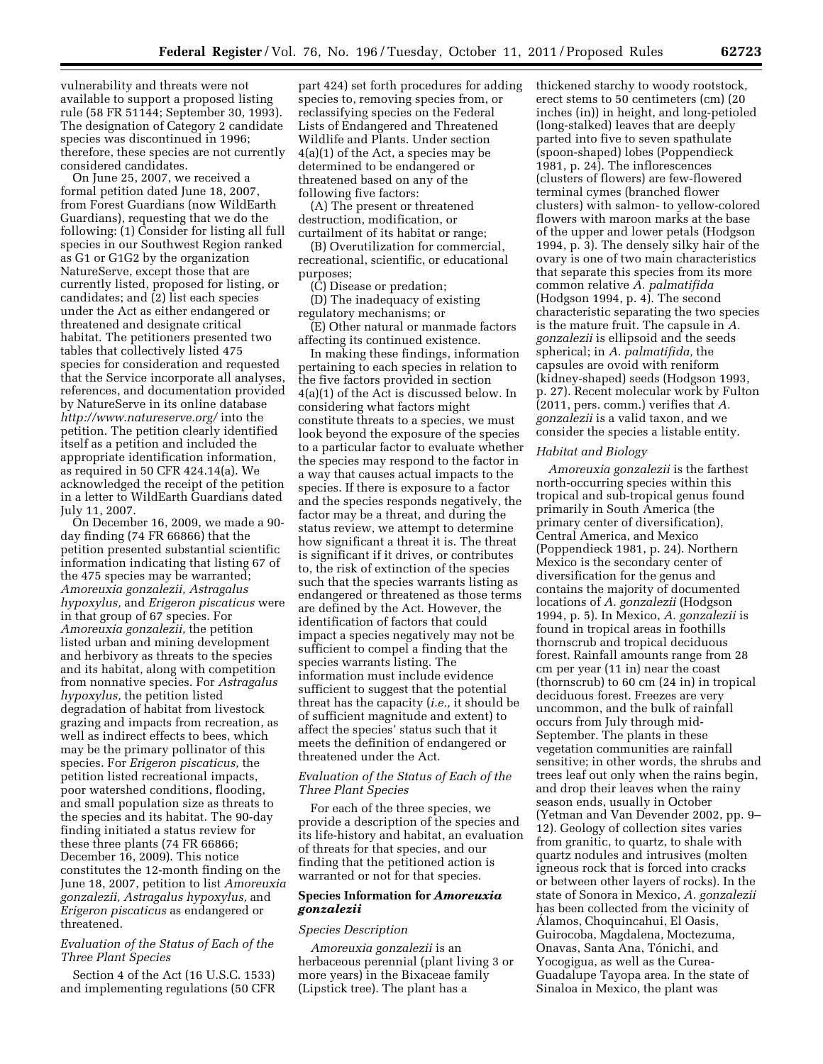vulnerability and threats were not available to support a proposed listing rule (58 FR 51144; September 30, 1993). The designation of Category 2 candidate species was discontinued in 1996; therefore, these species are not currently considered candidates.

On June 25, 2007, we received a formal petition dated June 18, 2007, from Forest Guardians (now WildEarth Guardians), requesting that we do the following: (1) Consider for listing all full species in our Southwest Region ranked as G1 or G1G2 by the organization NatureServe, except those that are currently listed, proposed for listing, or candidates; and (2) list each species under the Act as either endangered or threatened and designate critical habitat. The petitioners presented two tables that collectively listed 475 species for consideration and requested that the Service incorporate all analyses, references, and documentation provided by NatureServe in its online database *<http://www.natureserve.org/>*into the petition. The petition clearly identified itself as a petition and included the appropriate identification information, as required in 50 CFR 424.14(a). We acknowledged the receipt of the petition in a letter to WildEarth Guardians dated July 11, 2007.

On December 16, 2009, we made a 90 day finding (74 FR 66866) that the petition presented substantial scientific information indicating that listing 67 of the 475 species may be warranted; *Amoreuxia gonzalezii, Astragalus hypoxylus,* and *Erigeron piscaticus* were in that group of 67 species. For *Amoreuxia gonzalezii,* the petition listed urban and mining development and herbivory as threats to the species and its habitat, along with competition from nonnative species. For *Astragalus hypoxylus,* the petition listed degradation of habitat from livestock grazing and impacts from recreation, as well as indirect effects to bees, which may be the primary pollinator of this species. For *Erigeron piscaticus,* the petition listed recreational impacts, poor watershed conditions, flooding, and small population size as threats to the species and its habitat. The 90-day finding initiated a status review for these three plants (74 FR 66866; December 16, 2009). This notice constitutes the 12-month finding on the June 18, 2007, petition to list *Amoreuxia gonzalezii, Astragalus hypoxylus,* and *Erigeron piscaticus* as endangered or threatened.

# *Evaluation of the Status of Each of the Three Plant Species*

Section 4 of the Act (16 U.S.C. 1533) and implementing regulations (50 CFR

part 424) set forth procedures for adding species to, removing species from, or reclassifying species on the Federal Lists of Endangered and Threatened Wildlife and Plants. Under section 4(a)(1) of the Act, a species may be determined to be endangered or threatened based on any of the following five factors:

(A) The present or threatened destruction, modification, or curtailment of its habitat or range;

(B) Overutilization for commercial, recreational, scientific, or educational purposes;

(C) Disease or predation;

(D) The inadequacy of existing regulatory mechanisms; or

(E) Other natural or manmade factors affecting its continued existence.

In making these findings, information pertaining to each species in relation to the five factors provided in section 4(a)(1) of the Act is discussed below. In considering what factors might constitute threats to a species, we must look beyond the exposure of the species to a particular factor to evaluate whether the species may respond to the factor in a way that causes actual impacts to the species. If there is exposure to a factor and the species responds negatively, the factor may be a threat, and during the status review, we attempt to determine how significant a threat it is. The threat is significant if it drives, or contributes to, the risk of extinction of the species such that the species warrants listing as endangered or threatened as those terms are defined by the Act. However, the identification of factors that could impact a species negatively may not be sufficient to compel a finding that the species warrants listing. The information must include evidence sufficient to suggest that the potential threat has the capacity (*i.e.,* it should be of sufficient magnitude and extent) to affect the species' status such that it meets the definition of endangered or threatened under the Act.

# *Evaluation of the Status of Each of the Three Plant Species*

For each of the three species, we provide a description of the species and its life-history and habitat, an evaluation of threats for that species, and our finding that the petitioned action is warranted or not for that species.

# **Species Information for** *Amoreuxia gonzalezii*

### *Species Description*

*Amoreuxia gonzalezii* is an herbaceous perennial (plant living 3 or more years) in the Bixaceae family (Lipstick tree). The plant has a

thickened starchy to woody rootstock, erect stems to 50 centimeters (cm) (20 inches (in)) in height, and long-petioled (long-stalked) leaves that are deeply parted into five to seven spathulate (spoon-shaped) lobes (Poppendieck 1981, p. 24). The inflorescences (clusters of flowers) are few-flowered terminal cymes (branched flower clusters) with salmon- to yellow-colored flowers with maroon marks at the base of the upper and lower petals (Hodgson 1994, p. 3). The densely silky hair of the ovary is one of two main characteristics that separate this species from its more common relative *A. palmatifida*  (Hodgson 1994, p. 4). The second characteristic separating the two species is the mature fruit. The capsule in *A. gonzalezii* is ellipsoid and the seeds spherical; in *A. palmatifida,* the capsules are ovoid with reniform (kidney-shaped) seeds (Hodgson 1993, p. 27). Recent molecular work by Fulton (2011, pers. comm.) verifies that *A. gonzalezii* is a valid taxon, and we consider the species a listable entity.

#### *Habitat and Biology*

*Amoreuxia gonzalezii* is the farthest north-occurring species within this tropical and sub-tropical genus found primarily in South America (the primary center of diversification), Central America, and Mexico (Poppendieck 1981, p. 24). Northern Mexico is the secondary center of diversification for the genus and contains the majority of documented locations of *A. gonzalezii* (Hodgson 1994, p. 5). In Mexico, *A. gonzalezii* is found in tropical areas in foothills thornscrub and tropical deciduous forest. Rainfall amounts range from 28 cm per year (11 in) near the coast (thornscrub) to 60 cm (24 in) in tropical deciduous forest. Freezes are very uncommon, and the bulk of rainfall occurs from July through mid-September. The plants in these vegetation communities are rainfall sensitive; in other words, the shrubs and trees leaf out only when the rains begin, and drop their leaves when the rainy season ends, usually in October (Yetman and Van Devender 2002, pp. 9– 12). Geology of collection sites varies from granitic, to quartz, to shale with quartz nodules and intrusives (molten igneous rock that is forced into cracks or between other layers of rocks). In the state of Sonora in Mexico, *A. gonzalezii*  has been collected from the vicinity of Alamos, Choquincahui, El Oasis, Guirocoba, Magdalena, Moctezuma, Onavas, Santa Ana, Tónichi, and Yocogigua, as well as the Curea-Guadalupe Tayopa area. In the state of Sinaloa in Mexico, the plant was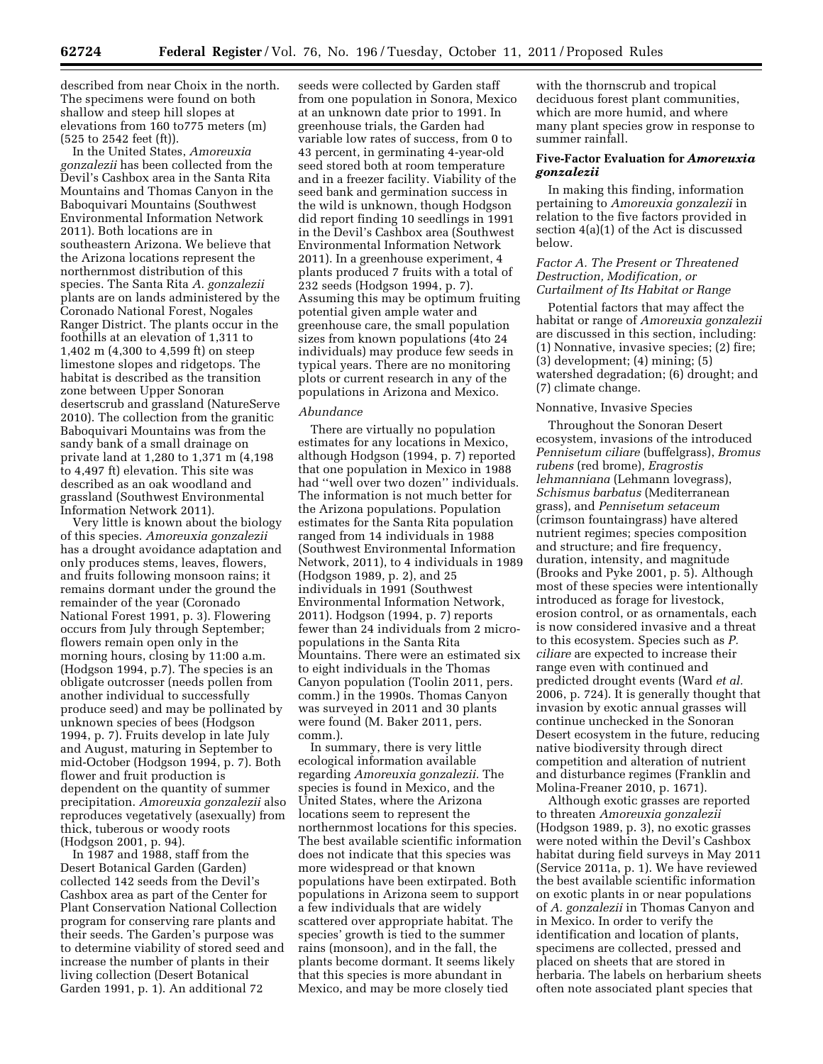described from near Choix in the north. The specimens were found on both shallow and steep hill slopes at elevations from 160 to775 meters (m) (525 to 2542 feet (ft)).

In the United States, *Amoreuxia gonzalezii* has been collected from the Devil's Cashbox area in the Santa Rita Mountains and Thomas Canyon in the Baboquivari Mountains (Southwest Environmental Information Network 2011). Both locations are in southeastern Arizona. We believe that the Arizona locations represent the northernmost distribution of this species. The Santa Rita *A. gonzalezii*  plants are on lands administered by the Coronado National Forest, Nogales Ranger District. The plants occur in the foothills at an elevation of 1,311 to 1,402 m (4,300 to 4,599 ft) on steep limestone slopes and ridgetops. The habitat is described as the transition zone between Upper Sonoran desertscrub and grassland (NatureServe 2010). The collection from the granitic Baboquivari Mountains was from the sandy bank of a small drainage on private land at 1,280 to 1,371 m (4,198 to 4,497 ft) elevation. This site was described as an oak woodland and grassland (Southwest Environmental Information Network 2011).

Very little is known about the biology of this species. *Amoreuxia gonzalezii*  has a drought avoidance adaptation and only produces stems, leaves, flowers, and fruits following monsoon rains; it remains dormant under the ground the remainder of the year (Coronado National Forest 1991, p. 3). Flowering occurs from July through September; flowers remain open only in the morning hours, closing by 11:00 a.m. (Hodgson 1994, p.7). The species is an obligate outcrosser (needs pollen from another individual to successfully produce seed) and may be pollinated by unknown species of bees (Hodgson 1994, p. 7). Fruits develop in late July and August, maturing in September to mid-October (Hodgson 1994, p. 7). Both flower and fruit production is dependent on the quantity of summer precipitation. *Amoreuxia gonzalezii* also reproduces vegetatively (asexually) from thick, tuberous or woody roots (Hodgson 2001, p. 94).

In 1987 and 1988, staff from the Desert Botanical Garden (Garden) collected 142 seeds from the Devil's Cashbox area as part of the Center for Plant Conservation National Collection program for conserving rare plants and their seeds. The Garden's purpose was to determine viability of stored seed and increase the number of plants in their living collection (Desert Botanical Garden 1991, p. 1). An additional 72

seeds were collected by Garden staff from one population in Sonora, Mexico at an unknown date prior to 1991. In greenhouse trials, the Garden had variable low rates of success, from 0 to 43 percent, in germinating 4-year-old seed stored both at room temperature and in a freezer facility. Viability of the seed bank and germination success in the wild is unknown, though Hodgson did report finding 10 seedlings in 1991 in the Devil's Cashbox area (Southwest Environmental Information Network 2011). In a greenhouse experiment, 4 plants produced 7 fruits with a total of 232 seeds (Hodgson 1994, p. 7). Assuming this may be optimum fruiting potential given ample water and greenhouse care, the small population sizes from known populations (4to 24 individuals) may produce few seeds in typical years. There are no monitoring plots or current research in any of the populations in Arizona and Mexico.

### *Abundance*

There are virtually no population estimates for any locations in Mexico, although Hodgson (1994, p. 7) reported that one population in Mexico in 1988 had ''well over two dozen'' individuals. The information is not much better for the Arizona populations. Population estimates for the Santa Rita population ranged from 14 individuals in 1988 (Southwest Environmental Information Network, 2011), to 4 individuals in 1989 (Hodgson 1989, p. 2), and 25 individuals in 1991 (Southwest Environmental Information Network, 2011). Hodgson (1994, p. 7) reports fewer than 24 individuals from 2 micropopulations in the Santa Rita Mountains. There were an estimated six to eight individuals in the Thomas Canyon population (Toolin 2011, pers. comm.) in the 1990s. Thomas Canyon was surveyed in 2011 and 30 plants were found (M. Baker 2011, pers. comm.).

In summary, there is very little ecological information available regarding *Amoreuxia gonzalezii.* The species is found in Mexico, and the United States, where the Arizona locations seem to represent the northernmost locations for this species. The best available scientific information does not indicate that this species was more widespread or that known populations have been extirpated. Both populations in Arizona seem to support a few individuals that are widely scattered over appropriate habitat. The species' growth is tied to the summer rains (monsoon), and in the fall, the plants become dormant. It seems likely that this species is more abundant in Mexico, and may be more closely tied

with the thornscrub and tropical deciduous forest plant communities, which are more humid, and where many plant species grow in response to summer rainfall.

# **Five-Factor Evaluation for** *Amoreuxia gonzalezii*

In making this finding, information pertaining to *Amoreuxia gonzalezii* in relation to the five factors provided in section 4(a)(1) of the Act is discussed below.

## *Factor A. The Present or Threatened Destruction, Modification, or Curtailment of Its Habitat or Range*

Potential factors that may affect the habitat or range of *Amoreuxia gonzalezii*  are discussed in this section, including: (1) Nonnative, invasive species; (2) fire; (3) development; (4) mining; (5) watershed degradation; (6) drought; and (7) climate change.

### Nonnative, Invasive Species

Throughout the Sonoran Desert ecosystem, invasions of the introduced *Pennisetum ciliare* (buffelgrass), *Bromus rubens* (red brome), *Eragrostis lehmanniana* (Lehmann lovegrass), *Schismus barbatus* (Mediterranean grass), and *Pennisetum setaceum*  (crimson fountaingrass) have altered nutrient regimes; species composition and structure; and fire frequency, duration, intensity, and magnitude (Brooks and Pyke 2001, p. 5). Although most of these species were intentionally introduced as forage for livestock, erosion control, or as ornamentals, each is now considered invasive and a threat to this ecosystem. Species such as *P. ciliare* are expected to increase their range even with continued and predicted drought events (Ward *et al.*  2006, p. 724). It is generally thought that invasion by exotic annual grasses will continue unchecked in the Sonoran Desert ecosystem in the future, reducing native biodiversity through direct competition and alteration of nutrient and disturbance regimes (Franklin and Molina-Freaner 2010, p. 1671).

Although exotic grasses are reported to threaten *Amoreuxia gonzalezii*  (Hodgson 1989, p. 3), no exotic grasses were noted within the Devil's Cashbox habitat during field surveys in May 2011 (Service 2011a, p. 1). We have reviewed the best available scientific information on exotic plants in or near populations of *A. gonzalezii* in Thomas Canyon and in Mexico. In order to verify the identification and location of plants, specimens are collected, pressed and placed on sheets that are stored in herbaria. The labels on herbarium sheets often note associated plant species that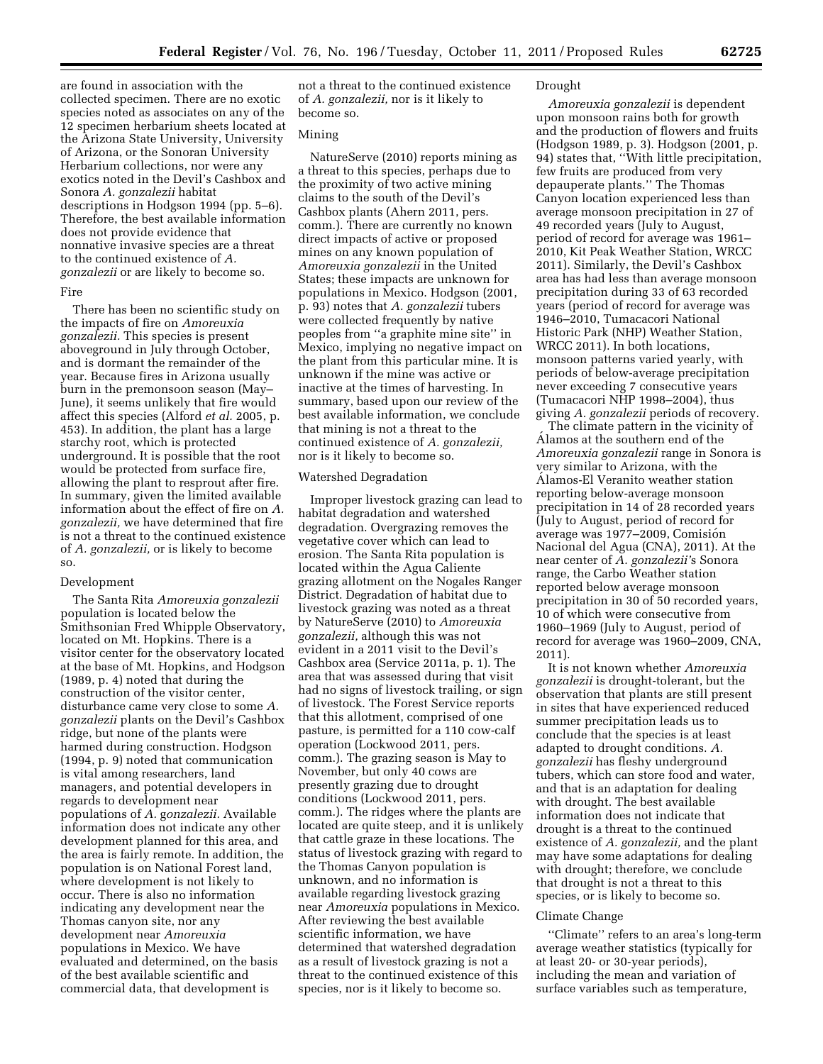are found in association with the collected specimen. There are no exotic species noted as associates on any of the 12 specimen herbarium sheets located at the Arizona State University, University of Arizona, or the Sonoran University Herbarium collections, nor were any exotics noted in the Devil's Cashbox and Sonora *A. gonzalezii* habitat descriptions in Hodgson 1994 (pp. 5–6). Therefore, the best available information does not provide evidence that nonnative invasive species are a threat to the continued existence of *A. gonzalezii* or are likely to become so.

#### Fire

There has been no scientific study on the impacts of fire on *Amoreuxia gonzalezii.* This species is present aboveground in July through October, and is dormant the remainder of the year. Because fires in Arizona usually burn in the premonsoon season (May– June), it seems unlikely that fire would affect this species (Alford *et al.* 2005, p. 453). In addition, the plant has a large starchy root, which is protected underground. It is possible that the root would be protected from surface fire, allowing the plant to resprout after fire. In summary, given the limited available information about the effect of fire on *A. gonzalezii,* we have determined that fire is not a threat to the continued existence of *A. gonzalezii,* or is likely to become so.

### Development

The Santa Rita *Amoreuxia gonzalezii*  population is located below the Smithsonian Fred Whipple Observatory, located on Mt. Hopkins. There is a visitor center for the observatory located at the base of Mt. Hopkins, and Hodgson (1989, p. 4) noted that during the construction of the visitor center, disturbance came very close to some *A. gonzalezii* plants on the Devil's Cashbox ridge, but none of the plants were harmed during construction. Hodgson (1994, p. 9) noted that communication is vital among researchers, land managers, and potential developers in regards to development near populations of *A.* g*onzalezii.* Available information does not indicate any other development planned for this area, and the area is fairly remote. In addition, the population is on National Forest land, where development is not likely to occur. There is also no information indicating any development near the Thomas canyon site, nor any development near *Amoreuxia*  populations in Mexico. We have evaluated and determined, on the basis of the best available scientific and commercial data, that development is

not a threat to the continued existence of *A. gonzalezii,* nor is it likely to become so.

# Mining

NatureServe (2010) reports mining as a threat to this species, perhaps due to the proximity of two active mining claims to the south of the Devil's Cashbox plants (Ahern 2011, pers. comm.). There are currently no known direct impacts of active or proposed mines on any known population of *Amoreuxia gonzalezii* in the United States; these impacts are unknown for populations in Mexico. Hodgson (2001, p. 93) notes that *A. gonzalezii* tubers were collected frequently by native peoples from ''a graphite mine site'' in Mexico, implying no negative impact on the plant from this particular mine. It is unknown if the mine was active or inactive at the times of harvesting. In summary, based upon our review of the best available information, we conclude that mining is not a threat to the continued existence of *A. gonzalezii,*  nor is it likely to become so.

### Watershed Degradation

Improper livestock grazing can lead to habitat degradation and watershed degradation. Overgrazing removes the vegetative cover which can lead to erosion. The Santa Rita population is located within the Agua Caliente grazing allotment on the Nogales Ranger District. Degradation of habitat due to livestock grazing was noted as a threat by NatureServe (2010) to *Amoreuxia gonzalezii,* although this was not evident in a 2011 visit to the Devil's Cashbox area (Service 2011a, p. 1). The area that was assessed during that visit had no signs of livestock trailing, or sign of livestock. The Forest Service reports that this allotment, comprised of one pasture, is permitted for a 110 cow-calf operation (Lockwood 2011, pers. comm.). The grazing season is May to November, but only 40 cows are presently grazing due to drought conditions (Lockwood 2011, pers. comm.). The ridges where the plants are located are quite steep, and it is unlikely that cattle graze in these locations. The status of livestock grazing with regard to the Thomas Canyon population is unknown, and no information is available regarding livestock grazing near *Amoreuxia* populations in Mexico. After reviewing the best available scientific information, we have determined that watershed degradation as a result of livestock grazing is not a threat to the continued existence of this species, nor is it likely to become so.

#### Drought

*Amoreuxia gonzalezii* is dependent upon monsoon rains both for growth and the production of flowers and fruits (Hodgson 1989, p. 3). Hodgson (2001, p. 94) states that, ''With little precipitation, few fruits are produced from very depauperate plants.'' The Thomas Canyon location experienced less than average monsoon precipitation in 27 of 49 recorded years (July to August, period of record for average was 1961– 2010, Kit Peak Weather Station, WRCC 2011). Similarly, the Devil's Cashbox area has had less than average monsoon precipitation during 33 of 63 recorded years (period of record for average was 1946–2010, Tumacacori National Historic Park (NHP) Weather Station, WRCC 2011). In both locations, monsoon patterns varied yearly, with periods of below-average precipitation never exceeding 7 consecutive years (Tumacacori NHP 1998–2004), thus giving *A. gonzalezii* periods of recovery.

The climate pattern in the vicinity of Alamos at the southern end of the *Amoreuxia gonzalezii* range in Sonora is very similar to Arizona, with the Álamos-El Veranito weather station reporting below-average monsoon precipitation in 14 of 28 recorded years (July to August, period of record for average was 1977–2009, Comisión Nacional del Agua (CNA), 2011). At the near center of *A. gonzalezii'*s Sonora range, the Carbo Weather station reported below average monsoon precipitation in 30 of 50 recorded years, 10 of which were consecutive from 1960–1969 (July to August, period of record for average was 1960–2009, CNA, 2011).

It is not known whether *Amoreuxia gonzalezii* is drought-tolerant, but the observation that plants are still present in sites that have experienced reduced summer precipitation leads us to conclude that the species is at least adapted to drought conditions. *A. gonzalezii* has fleshy underground tubers, which can store food and water, and that is an adaptation for dealing with drought. The best available information does not indicate that drought is a threat to the continued existence of *A. gonzalezii,* and the plant may have some adaptations for dealing with drought; therefore, we conclude that drought is not a threat to this species, or is likely to become so.

### Climate Change

''Climate'' refers to an area's long-term average weather statistics (typically for at least 20- or 30-year periods), including the mean and variation of surface variables such as temperature,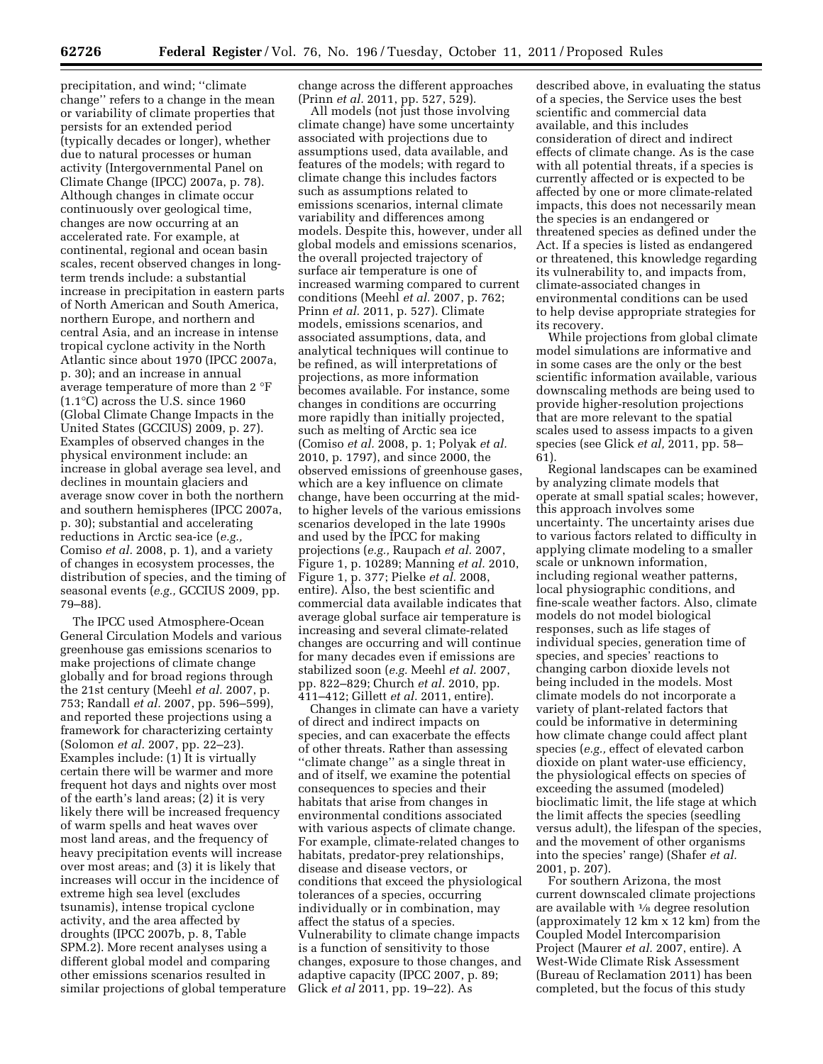precipitation, and wind; ''climate change'' refers to a change in the mean or variability of climate properties that persists for an extended period (typically decades or longer), whether due to natural processes or human activity (Intergovernmental Panel on Climate Change (IPCC) 2007a, p. 78). Although changes in climate occur continuously over geological time, changes are now occurring at an accelerated rate. For example, at continental, regional and ocean basin scales, recent observed changes in longterm trends include: a substantial increase in precipitation in eastern parts of North American and South America, northern Europe, and northern and central Asia, and an increase in intense tropical cyclone activity in the North Atlantic since about 1970 (IPCC 2007a, p. 30); and an increase in annual average temperature of more than 2 °F (1.1°C) across the U.S. since 1960 (Global Climate Change Impacts in the United States (GCCIUS) 2009, p. 27). Examples of observed changes in the physical environment include: an increase in global average sea level, and declines in mountain glaciers and average snow cover in both the northern and southern hemispheres (IPCC 2007a, p. 30); substantial and accelerating reductions in Arctic sea-ice (*e.g.,*  Comiso *et al.* 2008, p. 1), and a variety of changes in ecosystem processes, the distribution of species, and the timing of seasonal events (*e.g.,* GCCIUS 2009, pp. 79–88).

The IPCC used Atmosphere-Ocean General Circulation Models and various greenhouse gas emissions scenarios to make projections of climate change globally and for broad regions through the 21st century (Meehl *et al.* 2007, p. 753; Randall *et al.* 2007, pp. 596–599), and reported these projections using a framework for characterizing certainty (Solomon *et al.* 2007, pp. 22–23). Examples include: (1) It is virtually certain there will be warmer and more frequent hot days and nights over most of the earth's land areas; (2) it is very likely there will be increased frequency of warm spells and heat waves over most land areas, and the frequency of heavy precipitation events will increase over most areas; and (3) it is likely that increases will occur in the incidence of extreme high sea level (excludes tsunamis), intense tropical cyclone activity, and the area affected by droughts (IPCC 2007b, p. 8, Table SPM.2). More recent analyses using a different global model and comparing other emissions scenarios resulted in similar projections of global temperature change across the different approaches (Prinn *et al.* 2011, pp. 527, 529).

All models (not just those involving climate change) have some uncertainty associated with projections due to assumptions used, data available, and features of the models; with regard to climate change this includes factors such as assumptions related to emissions scenarios, internal climate variability and differences among models. Despite this, however, under all global models and emissions scenarios, the overall projected trajectory of surface air temperature is one of increased warming compared to current conditions (Meehl *et al.* 2007, p. 762; Prinn *et al.* 2011, p. 527). Climate models, emissions scenarios, and associated assumptions, data, and analytical techniques will continue to be refined, as will interpretations of projections, as more information becomes available. For instance, some changes in conditions are occurring more rapidly than initially projected, such as melting of Arctic sea ice (Comiso *et al.* 2008, p. 1; Polyak *et al.*  2010, p. 1797), and since 2000, the observed emissions of greenhouse gases, which are a key influence on climate change, have been occurring at the midto higher levels of the various emissions scenarios developed in the late 1990s and used by the IPCC for making projections (*e.g.,* Raupach *et al.* 2007, Figure 1, p. 10289; Manning *et al.* 2010, Figure 1, p. 377; Pielke *et al.* 2008, entire). Also, the best scientific and commercial data available indicates that average global surface air temperature is increasing and several climate-related changes are occurring and will continue for many decades even if emissions are stabilized soon (*e.g.* Meehl *et al.* 2007, pp. 822–829; Church *et al.* 2010, pp. 411–412; Gillett *et al.* 2011, entire).

Changes in climate can have a variety of direct and indirect impacts on species, and can exacerbate the effects of other threats. Rather than assessing ''climate change'' as a single threat in and of itself, we examine the potential consequences to species and their habitats that arise from changes in environmental conditions associated with various aspects of climate change. For example, climate-related changes to habitats, predator-prey relationships, disease and disease vectors, or conditions that exceed the physiological tolerances of a species, occurring individually or in combination, may affect the status of a species. Vulnerability to climate change impacts is a function of sensitivity to those changes, exposure to those changes, and adaptive capacity (IPCC 2007, p. 89; Glick *et al* 2011, pp. 19–22). As

described above, in evaluating the status of a species, the Service uses the best scientific and commercial data available, and this includes consideration of direct and indirect effects of climate change. As is the case with all potential threats, if a species is currently affected or is expected to be affected by one or more climate-related impacts, this does not necessarily mean the species is an endangered or threatened species as defined under the Act. If a species is listed as endangered or threatened, this knowledge regarding its vulnerability to, and impacts from, climate-associated changes in environmental conditions can be used to help devise appropriate strategies for its recovery.

While projections from global climate model simulations are informative and in some cases are the only or the best scientific information available, various downscaling methods are being used to provide higher-resolution projections that are more relevant to the spatial scales used to assess impacts to a given species (see Glick *et al,* 2011, pp. 58– 61).

Regional landscapes can be examined by analyzing climate models that operate at small spatial scales; however, this approach involves some uncertainty. The uncertainty arises due to various factors related to difficulty in applying climate modeling to a smaller scale or unknown information, including regional weather patterns, local physiographic conditions, and fine-scale weather factors. Also, climate models do not model biological responses, such as life stages of individual species, generation time of species, and species' reactions to changing carbon dioxide levels not being included in the models. Most climate models do not incorporate a variety of plant-related factors that could be informative in determining how climate change could affect plant species (*e.g.,* effect of elevated carbon dioxide on plant water-use efficiency, the physiological effects on species of exceeding the assumed (modeled) bioclimatic limit, the life stage at which the limit affects the species (seedling versus adult), the lifespan of the species, and the movement of other organisms into the species' range) (Shafer *et al.*  2001, p. 207).

For southern Arizona, the most current downscaled climate projections are available with 1⁄8 degree resolution (approximately 12 km x 12 km) from the Coupled Model Intercomparision Project (Maurer *et al.* 2007, entire). A West-Wide Climate Risk Assessment (Bureau of Reclamation 2011) has been completed, but the focus of this study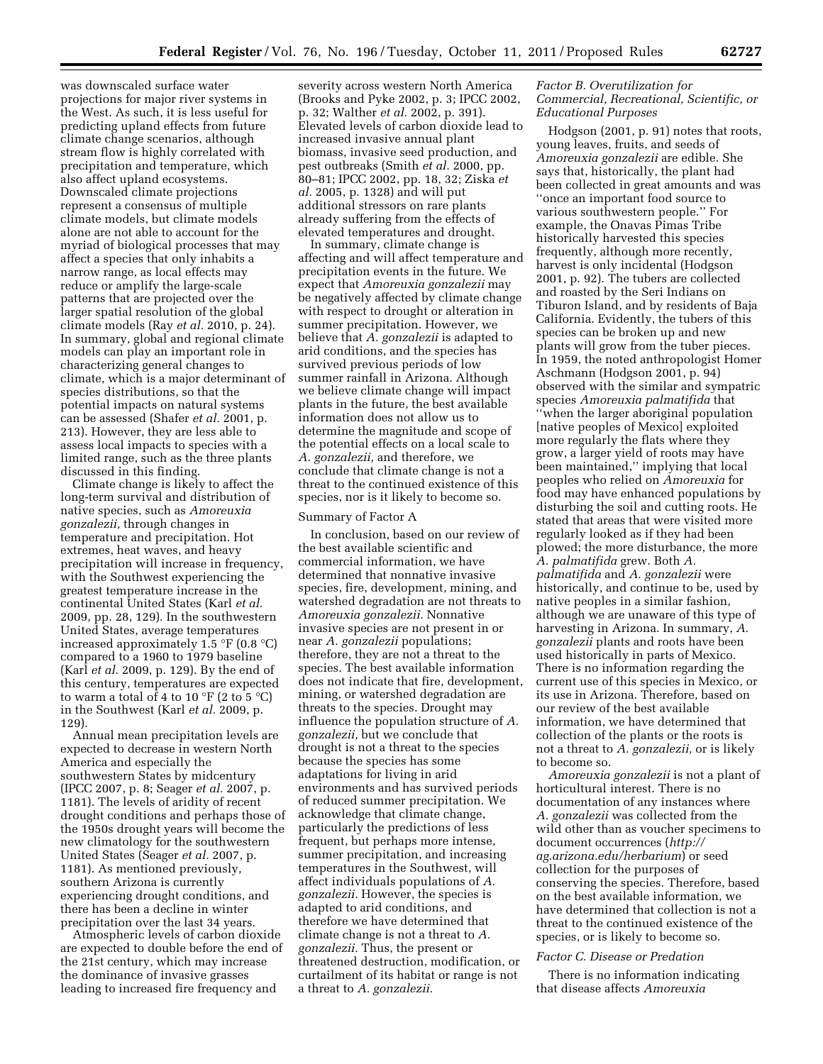was downscaled surface water projections for major river systems in the West. As such, it is less useful for predicting upland effects from future climate change scenarios, although stream flow is highly correlated with precipitation and temperature, which also affect upland ecosystems. Downscaled climate projections represent a consensus of multiple climate models, but climate models alone are not able to account for the myriad of biological processes that may affect a species that only inhabits a narrow range, as local effects may reduce or amplify the large-scale patterns that are projected over the larger spatial resolution of the global climate models (Ray *et al.* 2010, p. 24). In summary, global and regional climate models can play an important role in characterizing general changes to climate, which is a major determinant of species distributions, so that the potential impacts on natural systems can be assessed (Shafer *et al.* 2001, p. 213). However, they are less able to assess local impacts to species with a limited range, such as the three plants discussed in this finding.

Climate change is likely to affect the long-term survival and distribution of native species, such as *Amoreuxia gonzalezii,* through changes in temperature and precipitation. Hot extremes, heat waves, and heavy precipitation will increase in frequency, with the Southwest experiencing the greatest temperature increase in the continental United States (Karl *et al.*  2009, pp. 28, 129). In the southwestern United States, average temperatures increased approximately 1.5 °F (0.8 °C) compared to a 1960 to 1979 baseline (Karl *et al.* 2009, p. 129). By the end of this century, temperatures are expected to warm a total of 4 to 10  $\mathrm{^{\circ}F}$  (2 to 5  $\mathrm{^{\circ}C}$ ) in the Southwest (Karl *et al.* 2009, p. 129).

Annual mean precipitation levels are expected to decrease in western North America and especially the southwestern States by midcentury (IPCC 2007, p. 8; Seager *et al.* 2007, p. 1181). The levels of aridity of recent drought conditions and perhaps those of the 1950s drought years will become the new climatology for the southwestern United States (Seager *et al.* 2007, p. 1181). As mentioned previously, southern Arizona is currently experiencing drought conditions, and there has been a decline in winter precipitation over the last 34 years.

Atmospheric levels of carbon dioxide are expected to double before the end of the 21st century, which may increase the dominance of invasive grasses leading to increased fire frequency and

severity across western North America (Brooks and Pyke 2002, p. 3; IPCC 2002, p. 32; Walther *et al.* 2002, p. 391). Elevated levels of carbon dioxide lead to increased invasive annual plant biomass, invasive seed production, and pest outbreaks (Smith *et al.* 2000, pp. 80–81; IPCC 2002, pp. 18, 32; Ziska *et al.* 2005, p. 1328) and will put additional stressors on rare plants already suffering from the effects of elevated temperatures and drought.

In summary, climate change is affecting and will affect temperature and precipitation events in the future. We expect that *Amoreuxia gonzalezii* may be negatively affected by climate change with respect to drought or alteration in summer precipitation. However, we believe that *A. gonzalezii* is adapted to arid conditions, and the species has survived previous periods of low summer rainfall in Arizona. Although we believe climate change will impact plants in the future, the best available information does not allow us to determine the magnitude and scope of the potential effects on a local scale to *A. gonzalezii,* and therefore, we conclude that climate change is not a threat to the continued existence of this species, nor is it likely to become so.

### Summary of Factor A

In conclusion, based on our review of the best available scientific and commercial information, we have determined that nonnative invasive species, fire, development, mining, and watershed degradation are not threats to *Amoreuxia gonzalezii.* Nonnative invasive species are not present in or near *A. gonzalezii* populations; therefore, they are not a threat to the species. The best available information does not indicate that fire, development, mining, or watershed degradation are threats to the species. Drought may influence the population structure of *A. gonzalezii,* but we conclude that drought is not a threat to the species because the species has some adaptations for living in arid environments and has survived periods of reduced summer precipitation. We acknowledge that climate change, particularly the predictions of less frequent, but perhaps more intense, summer precipitation, and increasing temperatures in the Southwest, will affect individuals populations of *A. gonzalezii.* However, the species is adapted to arid conditions, and therefore we have determined that climate change is not a threat to *A. gonzalezii.* Thus, the present or threatened destruction, modification, or curtailment of its habitat or range is not a threat to *A. gonzalezii.* 

# *Factor B. Overutilization for Commercial, Recreational, Scientific, or Educational Purposes*

Hodgson (2001, p. 91) notes that roots, young leaves, fruits, and seeds of *Amoreuxia gonzalezii* are edible. She says that, historically, the plant had been collected in great amounts and was ''once an important food source to various southwestern people.'' For example, the Onavas Pimas Tribe historically harvested this species frequently, although more recently, harvest is only incidental (Hodgson 2001, p. 92). The tubers are collected and roasted by the Seri Indians on Tiburon Island, and by residents of Baja California. Evidently, the tubers of this species can be broken up and new plants will grow from the tuber pieces. In 1959, the noted anthropologist Homer Aschmann (Hodgson 2001, p. 94) observed with the similar and sympatric species *Amoreuxia palmatifida* that ''when the larger aboriginal population [native peoples of Mexico] exploited more regularly the flats where they grow, a larger yield of roots may have been maintained,'' implying that local peoples who relied on *Amoreuxia* for food may have enhanced populations by disturbing the soil and cutting roots. He stated that areas that were visited more regularly looked as if they had been plowed; the more disturbance, the more *A. palmatifida* grew. Both *A. palmatifida* and *A. gonzalezii* were historically, and continue to be, used by native peoples in a similar fashion, although we are unaware of this type of harvesting in Arizona. In summary, *A. gonzalezii* plants and roots have been used historically in parts of Mexico. There is no information regarding the current use of this species in Mexico, or its use in Arizona. Therefore, based on our review of the best available information, we have determined that collection of the plants or the roots is not a threat to *A. gonzalezii,* or is likely to become so.

*Amoreuxia gonzalezii* is not a plant of horticultural interest. There is no documentation of any instances where *A. gonzalezii* was collected from the wild other than as voucher specimens to document occurrences (*[http://](http://ag.arizona.edu/herbarium) [ag.arizona.edu/herbarium](http://ag.arizona.edu/herbarium)*) or seed collection for the purposes of conserving the species. Therefore, based on the best available information, we have determined that collection is not a threat to the continued existence of the species, or is likely to become so.

### *Factor C. Disease or Predation*

There is no information indicating that disease affects *Amoreuxia*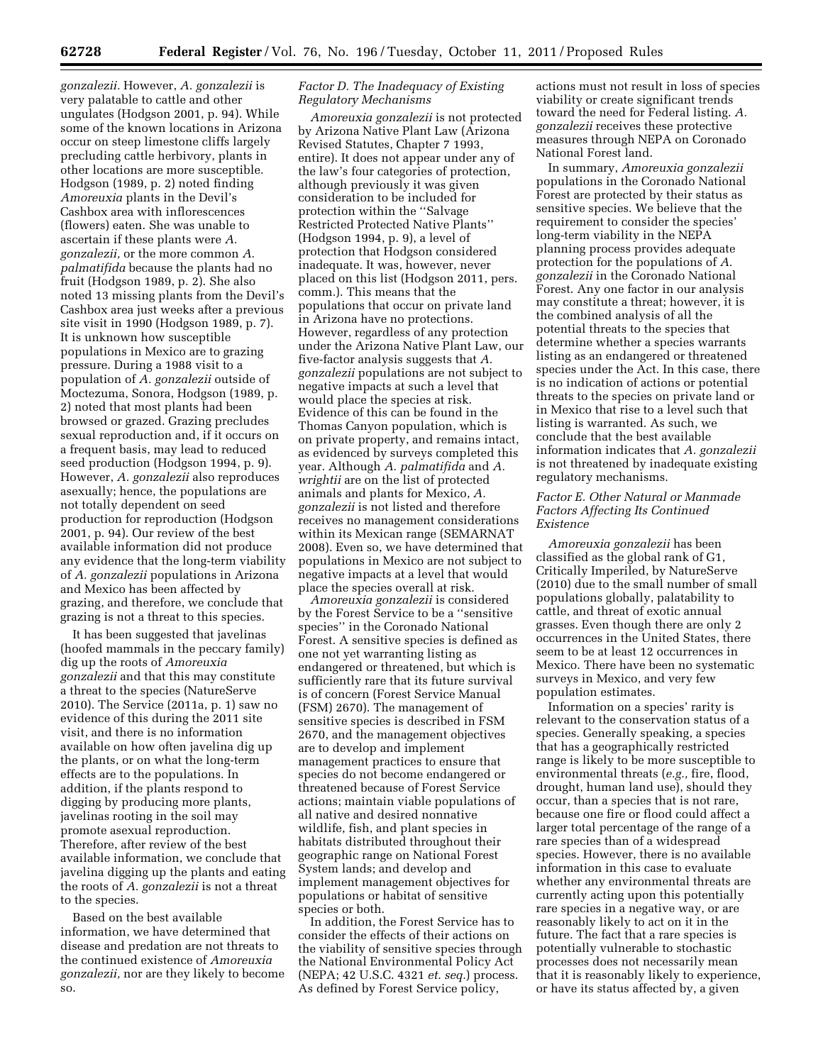*gonzalezii.* However, *A. gonzalezii* is very palatable to cattle and other ungulates (Hodgson 2001, p. 94). While some of the known locations in Arizona occur on steep limestone cliffs largely precluding cattle herbivory, plants in other locations are more susceptible. Hodgson (1989, p. 2) noted finding *Amoreuxia* plants in the Devil's Cashbox area with inflorescences (flowers) eaten. She was unable to ascertain if these plants were *A. gonzalezii,* or the more common *A. palmatifida* because the plants had no fruit (Hodgson 1989, p. 2). She also noted 13 missing plants from the Devil's Cashbox area just weeks after a previous site visit in 1990 (Hodgson 1989, p. 7). It is unknown how susceptible populations in Mexico are to grazing pressure. During a 1988 visit to a population of *A. gonzalezii* outside of Moctezuma, Sonora, Hodgson (1989, p. 2) noted that most plants had been browsed or grazed. Grazing precludes sexual reproduction and, if it occurs on a frequent basis, may lead to reduced seed production (Hodgson 1994, p. 9). However, *A. gonzalezii* also reproduces asexually; hence, the populations are not totally dependent on seed production for reproduction (Hodgson 2001, p. 94). Our review of the best available information did not produce any evidence that the long-term viability of *A. gonzalezii* populations in Arizona and Mexico has been affected by grazing, and therefore, we conclude that grazing is not a threat to this species.

It has been suggested that javelinas (hoofed mammals in the peccary family) dig up the roots of *Amoreuxia gonzalezii* and that this may constitute a threat to the species (NatureServe 2010). The Service (2011a, p. 1) saw no evidence of this during the 2011 site visit, and there is no information available on how often javelina dig up the plants, or on what the long-term effects are to the populations. In addition, if the plants respond to digging by producing more plants, javelinas rooting in the soil may promote asexual reproduction. Therefore, after review of the best available information, we conclude that javelina digging up the plants and eating the roots of *A. gonzalezii* is not a threat to the species.

Based on the best available information, we have determined that disease and predation are not threats to the continued existence of *Amoreuxia gonzalezii,* nor are they likely to become so.

# *Factor D. The Inadequacy of Existing Regulatory Mechanisms*

*Amoreuxia gonzalezii* is not protected by Arizona Native Plant Law (Arizona Revised Statutes, Chapter 7 1993, entire). It does not appear under any of the law's four categories of protection, although previously it was given consideration to be included for protection within the ''Salvage Restricted Protected Native Plants'' (Hodgson 1994, p. 9), a level of protection that Hodgson considered inadequate. It was, however, never placed on this list (Hodgson 2011, pers. comm.). This means that the populations that occur on private land in Arizona have no protections. However, regardless of any protection under the Arizona Native Plant Law, our five-factor analysis suggests that *A. gonzalezii* populations are not subject to negative impacts at such a level that would place the species at risk. Evidence of this can be found in the Thomas Canyon population, which is on private property, and remains intact, as evidenced by surveys completed this year. Although *A. palmatifida* and *A. wrightii* are on the list of protected animals and plants for Mexico, *A. gonzalezii* is not listed and therefore receives no management considerations within its Mexican range (SEMARNAT 2008). Even so, we have determined that populations in Mexico are not subject to negative impacts at a level that would place the species overall at risk.

*Amoreuxia gonzalezii* is considered by the Forest Service to be a ''sensitive species'' in the Coronado National Forest. A sensitive species is defined as one not yet warranting listing as endangered or threatened, but which is sufficiently rare that its future survival is of concern (Forest Service Manual (FSM) 2670). The management of sensitive species is described in FSM 2670, and the management objectives are to develop and implement management practices to ensure that species do not become endangered or threatened because of Forest Service actions; maintain viable populations of all native and desired nonnative wildlife, fish, and plant species in habitats distributed throughout their geographic range on National Forest System lands; and develop and implement management objectives for populations or habitat of sensitive species or both.

In addition, the Forest Service has to consider the effects of their actions on the viability of sensitive species through the National Environmental Policy Act (NEPA; 42 U.S.C. 4321 *et. seq.*) process. As defined by Forest Service policy,

actions must not result in loss of species viability or create significant trends toward the need for Federal listing. *A. gonzalezii* receives these protective measures through NEPA on Coronado National Forest land.

In summary, *Amoreuxia gonzalezii*  populations in the Coronado National Forest are protected by their status as sensitive species. We believe that the requirement to consider the species' long-term viability in the NEPA planning process provides adequate protection for the populations of *A. gonzalezii* in the Coronado National Forest. Any one factor in our analysis may constitute a threat; however, it is the combined analysis of all the potential threats to the species that determine whether a species warrants listing as an endangered or threatened species under the Act. In this case, there is no indication of actions or potential threats to the species on private land or in Mexico that rise to a level such that listing is warranted. As such, we conclude that the best available information indicates that *A. gonzalezii*  is not threatened by inadequate existing regulatory mechanisms.

# *Factor E. Other Natural or Manmade Factors Affecting Its Continued Existence*

*Amoreuxia gonzalezii* has been classified as the global rank of G1, Critically Imperiled, by NatureServe (2010) due to the small number of small populations globally, palatability to cattle, and threat of exotic annual grasses. Even though there are only 2 occurrences in the United States, there seem to be at least 12 occurrences in Mexico. There have been no systematic surveys in Mexico, and very few population estimates.

Information on a species' rarity is relevant to the conservation status of a species. Generally speaking, a species that has a geographically restricted range is likely to be more susceptible to environmental threats (*e.g.,* fire, flood, drought, human land use), should they occur, than a species that is not rare, because one fire or flood could affect a larger total percentage of the range of a rare species than of a widespread species. However, there is no available information in this case to evaluate whether any environmental threats are currently acting upon this potentially rare species in a negative way, or are reasonably likely to act on it in the future. The fact that a rare species is potentially vulnerable to stochastic processes does not necessarily mean that it is reasonably likely to experience, or have its status affected by, a given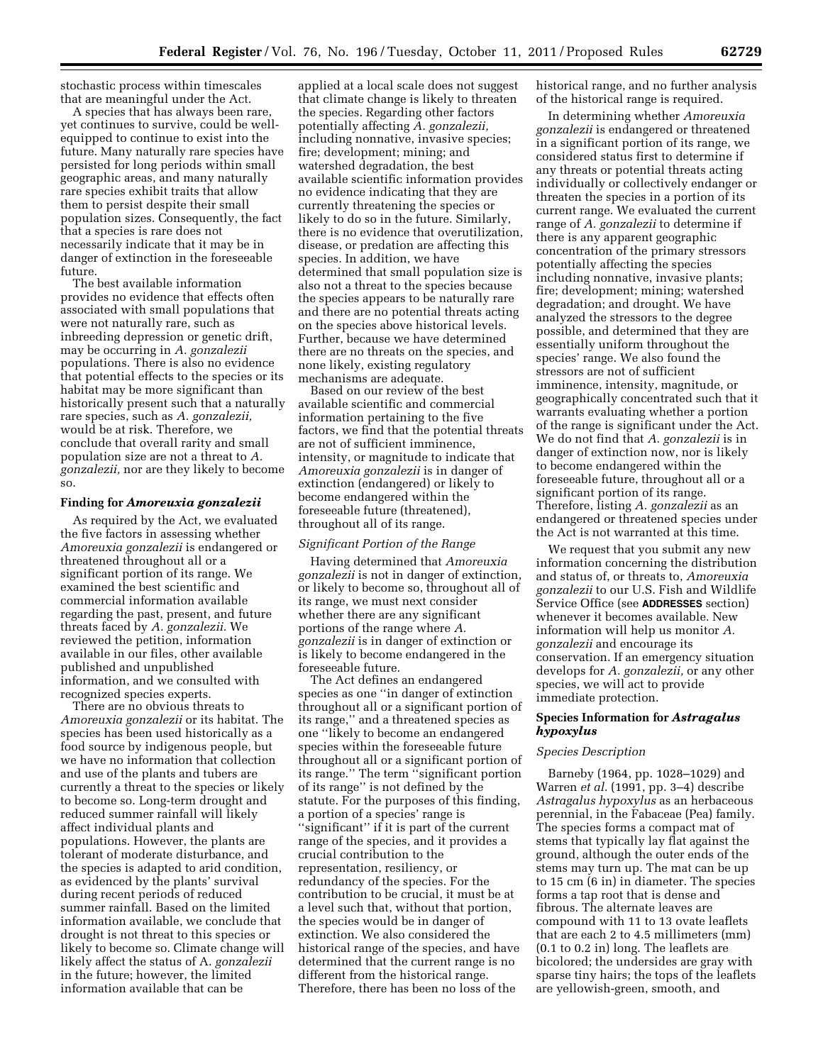stochastic process within timescales that are meaningful under the Act.

A species that has always been rare, yet continues to survive, could be wellequipped to continue to exist into the future. Many naturally rare species have persisted for long periods within small geographic areas, and many naturally rare species exhibit traits that allow them to persist despite their small population sizes. Consequently, the fact that a species is rare does not necessarily indicate that it may be in danger of extinction in the foreseeable future.

The best available information provides no evidence that effects often associated with small populations that were not naturally rare, such as inbreeding depression or genetic drift, may be occurring in *A. gonzalezii*  populations. There is also no evidence that potential effects to the species or its habitat may be more significant than historically present such that a naturally rare species, such as *A. gonzalezii,*  would be at risk. Therefore, we conclude that overall rarity and small population size are not a threat to *A. gonzalezii,* nor are they likely to become so.

### **Finding for** *Amoreuxia gonzalezii*

As required by the Act, we evaluated the five factors in assessing whether *Amoreuxia gonzalezii* is endangered or threatened throughout all or a significant portion of its range. We examined the best scientific and commercial information available regarding the past, present, and future threats faced by *A. gonzalezii.* We reviewed the petition, information available in our files, other available published and unpublished information, and we consulted with recognized species experts.

There are no obvious threats to *Amoreuxia gonzalezii* or its habitat. The species has been used historically as a food source by indigenous people, but we have no information that collection and use of the plants and tubers are currently a threat to the species or likely to become so. Long-term drought and reduced summer rainfall will likely affect individual plants and populations. However, the plants are tolerant of moderate disturbance, and the species is adapted to arid condition, as evidenced by the plants' survival during recent periods of reduced summer rainfall. Based on the limited information available, we conclude that drought is not threat to this species or likely to become so. Climate change will likely affect the status of A. *gonzalezii*  in the future; however, the limited information available that can be

applied at a local scale does not suggest that climate change is likely to threaten the species. Regarding other factors potentially affecting *A. gonzalezii,*  including nonnative, invasive species; fire; development; mining; and watershed degradation, the best available scientific information provides no evidence indicating that they are currently threatening the species or likely to do so in the future. Similarly, there is no evidence that overutilization, disease, or predation are affecting this species. In addition, we have determined that small population size is also not a threat to the species because the species appears to be naturally rare and there are no potential threats acting on the species above historical levels. Further, because we have determined there are no threats on the species, and none likely, existing regulatory mechanisms are adequate.

Based on our review of the best available scientific and commercial information pertaining to the five factors, we find that the potential threats are not of sufficient imminence, intensity, or magnitude to indicate that *Amoreuxia gonzalezii* is in danger of extinction (endangered) or likely to become endangered within the foreseeable future (threatened), throughout all of its range.

### *Significant Portion of the Range*

Having determined that *Amoreuxia gonzalezii* is not in danger of extinction, or likely to become so, throughout all of its range, we must next consider whether there are any significant portions of the range where *A. gonzalezii* is in danger of extinction or is likely to become endangered in the foreseeable future.

The Act defines an endangered species as one ''in danger of extinction throughout all or a significant portion of its range,'' and a threatened species as one ''likely to become an endangered species within the foreseeable future throughout all or a significant portion of its range.'' The term ''significant portion of its range'' is not defined by the statute. For the purposes of this finding, a portion of a species' range is ''significant'' if it is part of the current range of the species, and it provides a crucial contribution to the representation, resiliency, or redundancy of the species. For the contribution to be crucial, it must be at a level such that, without that portion, the species would be in danger of extinction. We also considered the historical range of the species, and have determined that the current range is no different from the historical range. Therefore, there has been no loss of the

historical range, and no further analysis of the historical range is required.

In determining whether *Amoreuxia gonzalezii* is endangered or threatened in a significant portion of its range, we considered status first to determine if any threats or potential threats acting individually or collectively endanger or threaten the species in a portion of its current range. We evaluated the current range of *A. gonzalezii* to determine if there is any apparent geographic concentration of the primary stressors potentially affecting the species including nonnative, invasive plants; fire; development; mining; watershed degradation; and drought. We have analyzed the stressors to the degree possible, and determined that they are essentially uniform throughout the species' range. We also found the stressors are not of sufficient imminence, intensity, magnitude, or geographically concentrated such that it warrants evaluating whether a portion of the range is significant under the Act. We do not find that *A. gonzalezii* is in danger of extinction now, nor is likely to become endangered within the foreseeable future, throughout all or a significant portion of its range. Therefore, listing *A. gonzalezii* as an endangered or threatened species under the Act is not warranted at this time.

We request that you submit any new information concerning the distribution and status of, or threats to, *Amoreuxia gonzalezii* to our U.S. Fish and Wildlife Service Office (see **ADDRESSES** section) whenever it becomes available. New information will help us monitor *A. gonzalezii* and encourage its conservation. If an emergency situation develops for *A. gonzalezii,* or any other species, we will act to provide immediate protection.

### **Species Information for** *Astragalus hypoxylus*

### *Species Description*

Barneby (1964, pp. 1028–1029) and Warren *et al.* (1991, pp. 3–4) describe *Astragalus hypoxylus* as an herbaceous perennial, in the Fabaceae (Pea) family. The species forms a compact mat of stems that typically lay flat against the ground, although the outer ends of the stems may turn up. The mat can be up to 15 cm (6 in) in diameter. The species forms a tap root that is dense and fibrous. The alternate leaves are compound with 11 to 13 ovate leaflets that are each 2 to 4.5 millimeters (mm) (0.1 to 0.2 in) long. The leaflets are bicolored; the undersides are gray with sparse tiny hairs; the tops of the leaflets are yellowish-green, smooth, and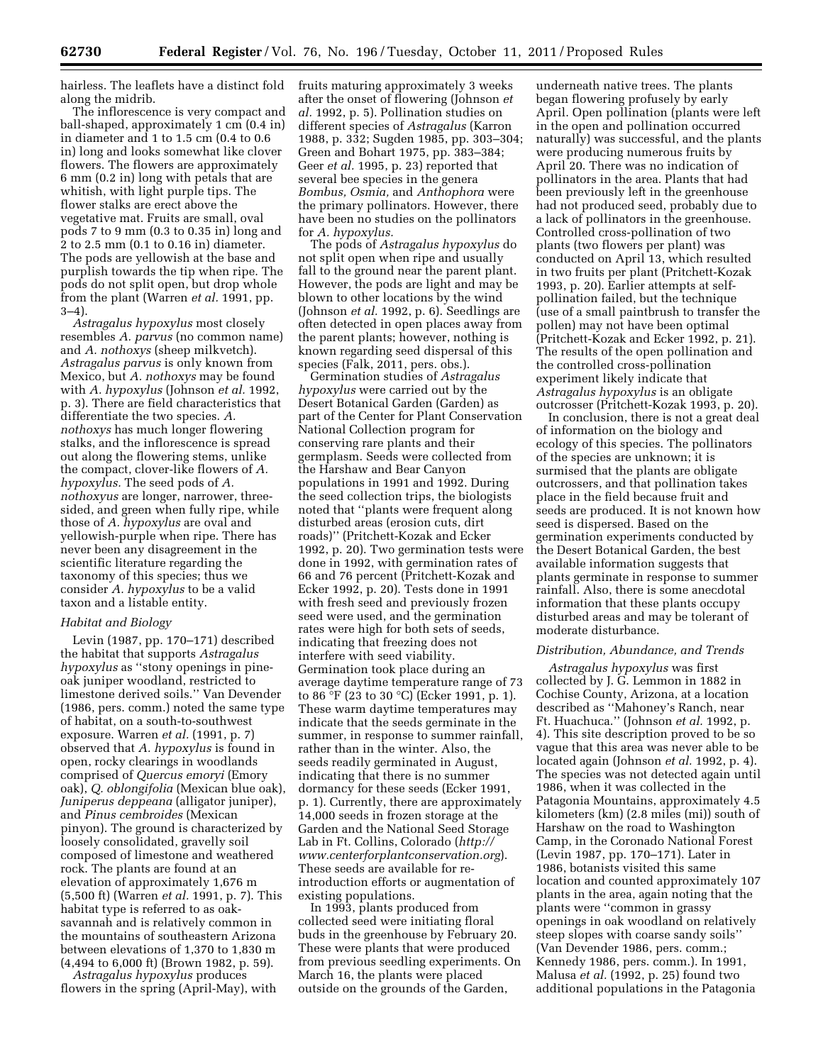hairless. The leaflets have a distinct fold along the midrib.

The inflorescence is very compact and ball-shaped, approximately 1 cm (0.4 in) in diameter and 1 to 1.5 cm (0.4 to 0.6 in) long and looks somewhat like clover flowers. The flowers are approximately 6 mm (0.2 in) long with petals that are whitish, with light purple tips. The flower stalks are erect above the vegetative mat. Fruits are small, oval pods 7 to 9 mm (0.3 to 0.35 in) long and 2 to 2.5 mm (0.1 to 0.16 in) diameter. The pods are yellowish at the base and purplish towards the tip when ripe. The pods do not split open, but drop whole from the plant (Warren *et al.* 1991, pp. 3–4).

*Astragalus hypoxylus* most closely resembles *A. parvus* (no common name) and *A. nothoxys* (sheep milkvetch). *Astragalus parvus* is only known from Mexico, but *A. nothoxys* may be found with *A. hypoxylus* (Johnson *et al.* 1992, p. 3). There are field characteristics that differentiate the two species. *A. nothoxys* has much longer flowering stalks, and the inflorescence is spread out along the flowering stems, unlike the compact, clover-like flowers of *A. hypoxylus.* The seed pods of *A. nothoxyus* are longer, narrower, threesided, and green when fully ripe, while those of *A. hypoxylus* are oval and yellowish-purple when ripe. There has never been any disagreement in the scientific literature regarding the taxonomy of this species; thus we consider *A. hypoxylus* to be a valid taxon and a listable entity.

### *Habitat and Biology*

Levin (1987, pp. 170–171) described the habitat that supports *Astragalus hypoxylus* as ''stony openings in pineoak juniper woodland, restricted to limestone derived soils.'' Van Devender (1986, pers. comm.) noted the same type of habitat, on a south-to-southwest exposure. Warren *et al.* (1991, p. 7) observed that *A. hypoxylus* is found in open, rocky clearings in woodlands comprised of *Quercus emoryi* (Emory oak), *Q. oblongifolia* (Mexican blue oak), *Juniperus deppeana* (alligator juniper), and *Pinus cembroides* (Mexican pinyon). The ground is characterized by loosely consolidated, gravelly soil composed of limestone and weathered rock. The plants are found at an elevation of approximately 1,676 m (5,500 ft) (Warren *et al.* 1991, p. 7). This habitat type is referred to as oaksavannah and is relatively common in the mountains of southeastern Arizona between elevations of 1,370 to 1,830 m (4,494 to 6,000 ft) (Brown 1982, p. 59).

*Astragalus hypoxylus* produces flowers in the spring (April-May), with fruits maturing approximately 3 weeks after the onset of flowering (Johnson *et al.* 1992, p. 5). Pollination studies on different species of *Astragalus* (Karron 1988, p. 332; Sugden 1985, pp. 303–304; Green and Bohart 1975, pp. 383–384; Geer *et al.* 1995, p. 23) reported that several bee species in the genera *Bombus, Osmia,* and *Anthophora* were the primary pollinators. However, there have been no studies on the pollinators for *A. hypoxylus.* 

The pods of *Astragalus hypoxylus* do not split open when ripe and usually fall to the ground near the parent plant. However, the pods are light and may be blown to other locations by the wind (Johnson *et al.* 1992, p. 6). Seedlings are often detected in open places away from the parent plants; however, nothing is known regarding seed dispersal of this species (Falk, 2011, pers. obs.).

Germination studies of *Astragalus hypoxylus* were carried out by the Desert Botanical Garden (Garden) as part of the Center for Plant Conservation National Collection program for conserving rare plants and their germplasm. Seeds were collected from the Harshaw and Bear Canyon populations in 1991 and 1992. During the seed collection trips, the biologists noted that ''plants were frequent along disturbed areas (erosion cuts, dirt roads)'' (Pritchett-Kozak and Ecker 1992, p. 20). Two germination tests were done in 1992, with germination rates of 66 and 76 percent (Pritchett-Kozak and Ecker 1992, p. 20). Tests done in 1991 with fresh seed and previously frozen seed were used, and the germination rates were high for both sets of seeds, indicating that freezing does not interfere with seed viability. Germination took place during an average daytime temperature range of 73 to 86  $\mathrm{P}$ F (23 to 30 °C) (Ecker 1991, p. 1). These warm daytime temperatures may indicate that the seeds germinate in the summer, in response to summer rainfall, rather than in the winter. Also, the seeds readily germinated in August, indicating that there is no summer dormancy for these seeds (Ecker 1991, p. 1). Currently, there are approximately 14,000 seeds in frozen storage at the Garden and the National Seed Storage Lab in Ft. Collins, Colorado (*[http://](http://www.centerforplantconservation.org)  [www.centerforplantconservation.org](http://www.centerforplantconservation.org)*). These seeds are available for reintroduction efforts or augmentation of existing populations.

In 1993, plants produced from collected seed were initiating floral buds in the greenhouse by February 20. These were plants that were produced from previous seedling experiments. On March 16, the plants were placed outside on the grounds of the Garden,

underneath native trees. The plants began flowering profusely by early April. Open pollination (plants were left in the open and pollination occurred naturally) was successful, and the plants were producing numerous fruits by April 20. There was no indication of pollinators in the area. Plants that had been previously left in the greenhouse had not produced seed, probably due to a lack of pollinators in the greenhouse. Controlled cross-pollination of two plants (two flowers per plant) was conducted on April 13, which resulted in two fruits per plant (Pritchett-Kozak 1993, p. 20). Earlier attempts at selfpollination failed, but the technique (use of a small paintbrush to transfer the pollen) may not have been optimal (Pritchett-Kozak and Ecker 1992, p. 21). The results of the open pollination and the controlled cross-pollination experiment likely indicate that *Astragalus hypoxylus* is an obligate outcrosser (Pritchett-Kozak 1993, p. 20).

In conclusion, there is not a great deal of information on the biology and ecology of this species. The pollinators of the species are unknown; it is surmised that the plants are obligate outcrossers, and that pollination takes place in the field because fruit and seeds are produced. It is not known how seed is dispersed. Based on the germination experiments conducted by the Desert Botanical Garden, the best available information suggests that plants germinate in response to summer rainfall. Also, there is some anecdotal information that these plants occupy disturbed areas and may be tolerant of moderate disturbance.

#### *Distribution, Abundance, and Trends*

*Astragalus hypoxylus* was first collected by J. G. Lemmon in 1882 in Cochise County, Arizona, at a location described as ''Mahoney's Ranch, near Ft. Huachuca.'' (Johnson *et al.* 1992, p. 4). This site description proved to be so vague that this area was never able to be located again (Johnson *et al.* 1992, p. 4). The species was not detected again until 1986, when it was collected in the Patagonia Mountains, approximately 4.5 kilometers (km) (2.8 miles (mi)) south of Harshaw on the road to Washington Camp, in the Coronado National Forest (Levin 1987, pp. 170–171). Later in 1986, botanists visited this same location and counted approximately 107 plants in the area, again noting that the plants were ''common in grassy openings in oak woodland on relatively steep slopes with coarse sandy soils'' (Van Devender 1986, pers. comm.; Kennedy 1986, pers. comm.). In 1991, Malusa *et al.* (1992, p. 25) found two additional populations in the Patagonia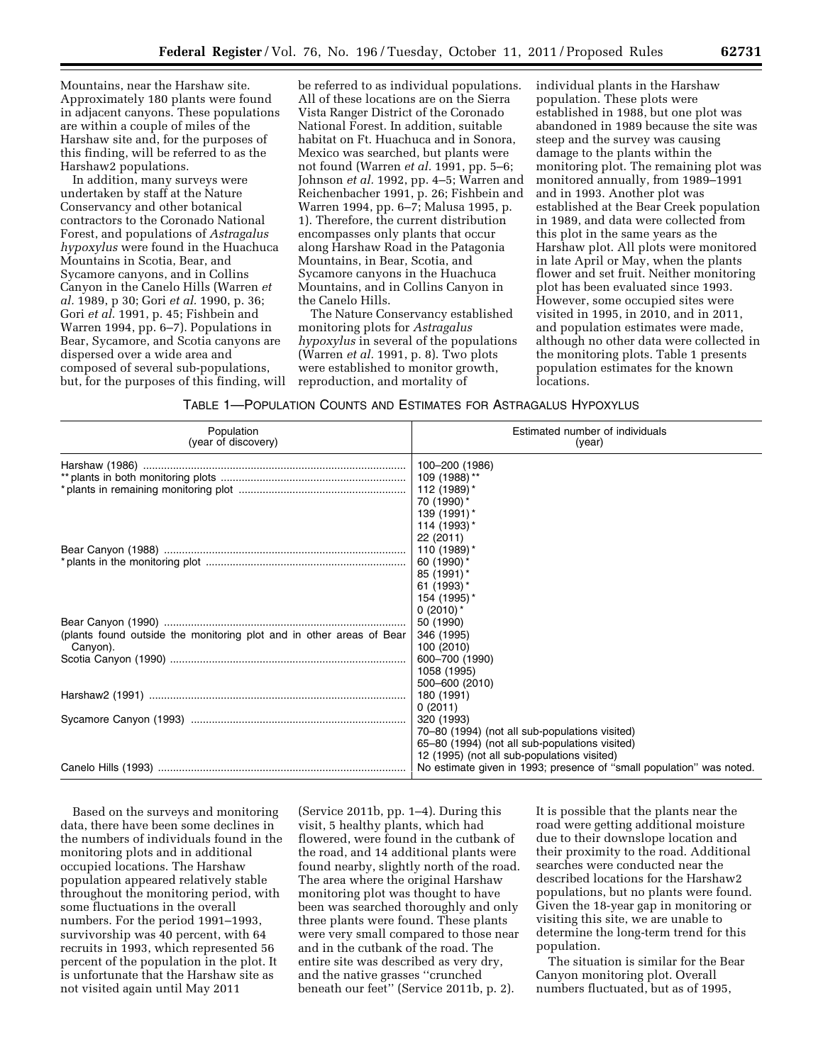Mountains, near the Harshaw site. Approximately 180 plants were found in adjacent canyons. These populations are within a couple of miles of the Harshaw site and, for the purposes of this finding, will be referred to as the Harshaw2 populations.

In addition, many surveys were undertaken by staff at the Nature Conservancy and other botanical contractors to the Coronado National Forest, and populations of *Astragalus hypoxylus* were found in the Huachuca Mountains in Scotia, Bear, and Sycamore canyons, and in Collins Canyon in the Canelo Hills (Warren *et al.* 1989, p 30; Gori *et al.* 1990, p. 36; Gori *et al.* 1991, p. 45; Fishbein and Warren 1994, pp. 6–7). Populations in Bear, Sycamore, and Scotia canyons are dispersed over a wide area and composed of several sub-populations, but, for the purposes of this finding, will

be referred to as individual populations. All of these locations are on the Sierra Vista Ranger District of the Coronado National Forest. In addition, suitable habitat on Ft. Huachuca and in Sonora, Mexico was searched, but plants were not found (Warren *et al.* 1991, pp. 5–6; Johnson *et al.* 1992, pp. 4–5; Warren and Reichenbacher 1991, p. 26; Fishbein and Warren 1994, pp. 6–7; Malusa 1995, p. 1). Therefore, the current distribution encompasses only plants that occur along Harshaw Road in the Patagonia Mountains, in Bear, Scotia, and Sycamore canyons in the Huachuca Mountains, and in Collins Canyon in the Canelo Hills.

The Nature Conservancy established monitoring plots for *Astragalus hypoxylus* in several of the populations (Warren *et al.* 1991, p. 8). Two plots were established to monitor growth, reproduction, and mortality of

individual plants in the Harshaw population. These plots were established in 1988, but one plot was abandoned in 1989 because the site was steep and the survey was causing damage to the plants within the monitoring plot. The remaining plot was monitored annually, from 1989–1991 and in 1993. Another plot was established at the Bear Creek population in 1989, and data were collected from this plot in the same years as the Harshaw plot. All plots were monitored in late April or May, when the plants flower and set fruit. Neither monitoring plot has been evaluated since 1993. However, some occupied sites were visited in 1995, in 2010, and in 2011, and population estimates were made, although no other data were collected in the monitoring plots. Table 1 presents population estimates for the known locations.

| TABLE 1—POPULATION COUNTS AND ESTIMATES FOR ASTRAGALUS HYPOXYLUS |  |  |
|------------------------------------------------------------------|--|--|
|------------------------------------------------------------------|--|--|

| Population<br>(year of discovery)                                    | Estimated number of individuals<br>(year)                            |  |
|----------------------------------------------------------------------|----------------------------------------------------------------------|--|
|                                                                      | 100-200 (1986)                                                       |  |
|                                                                      | 109 (1988) **                                                        |  |
|                                                                      | 112 (1989)*                                                          |  |
|                                                                      | 70 (1990) *                                                          |  |
|                                                                      | 139 (1991)*                                                          |  |
|                                                                      | 114 (1993)*                                                          |  |
|                                                                      | 22 (2011)                                                            |  |
|                                                                      | 110 (1989)*                                                          |  |
|                                                                      | 60 (1990)*                                                           |  |
|                                                                      | $85(1991)^*$                                                         |  |
|                                                                      | 61 $(1993)^*$                                                        |  |
|                                                                      | 154 (1995)*                                                          |  |
|                                                                      | $0(2010)^*$                                                          |  |
| (plants found outside the monitoring plot and in other areas of Bear | 50 (1990)<br>346 (1995)                                              |  |
| Canyon).                                                             | 100 (2010)                                                           |  |
|                                                                      | 600-700 (1990)                                                       |  |
|                                                                      | 1058 (1995)                                                          |  |
|                                                                      | 500-600 (2010)                                                       |  |
|                                                                      | 180 (1991)                                                           |  |
|                                                                      | 0(2011)                                                              |  |
|                                                                      | 320 (1993)                                                           |  |
|                                                                      | 70–80 (1994) (not all sub-populations visited)                       |  |
|                                                                      | 65-80 (1994) (not all sub-populations visited)                       |  |
|                                                                      | 12 (1995) (not all sub-populations visited)                          |  |
|                                                                      | No estimate given in 1993; presence of "small population" was noted. |  |

Based on the surveys and monitoring data, there have been some declines in the numbers of individuals found in the monitoring plots and in additional occupied locations. The Harshaw population appeared relatively stable throughout the monitoring period, with some fluctuations in the overall numbers. For the period 1991–1993, survivorship was 40 percent, with 64 recruits in 1993, which represented 56 percent of the population in the plot. It is unfortunate that the Harshaw site as not visited again until May 2011

(Service 2011b, pp. 1–4). During this visit, 5 healthy plants, which had flowered, were found in the cutbank of the road, and 14 additional plants were found nearby, slightly north of the road. The area where the original Harshaw monitoring plot was thought to have been was searched thoroughly and only three plants were found. These plants were very small compared to those near and in the cutbank of the road. The entire site was described as very dry, and the native grasses ''crunched beneath our feet'' (Service 2011b, p. 2).

It is possible that the plants near the road were getting additional moisture due to their downslope location and their proximity to the road. Additional searches were conducted near the described locations for the Harshaw2 populations, but no plants were found. Given the 18-year gap in monitoring or visiting this site, we are unable to determine the long-term trend for this population.

The situation is similar for the Bear Canyon monitoring plot. Overall numbers fluctuated, but as of 1995,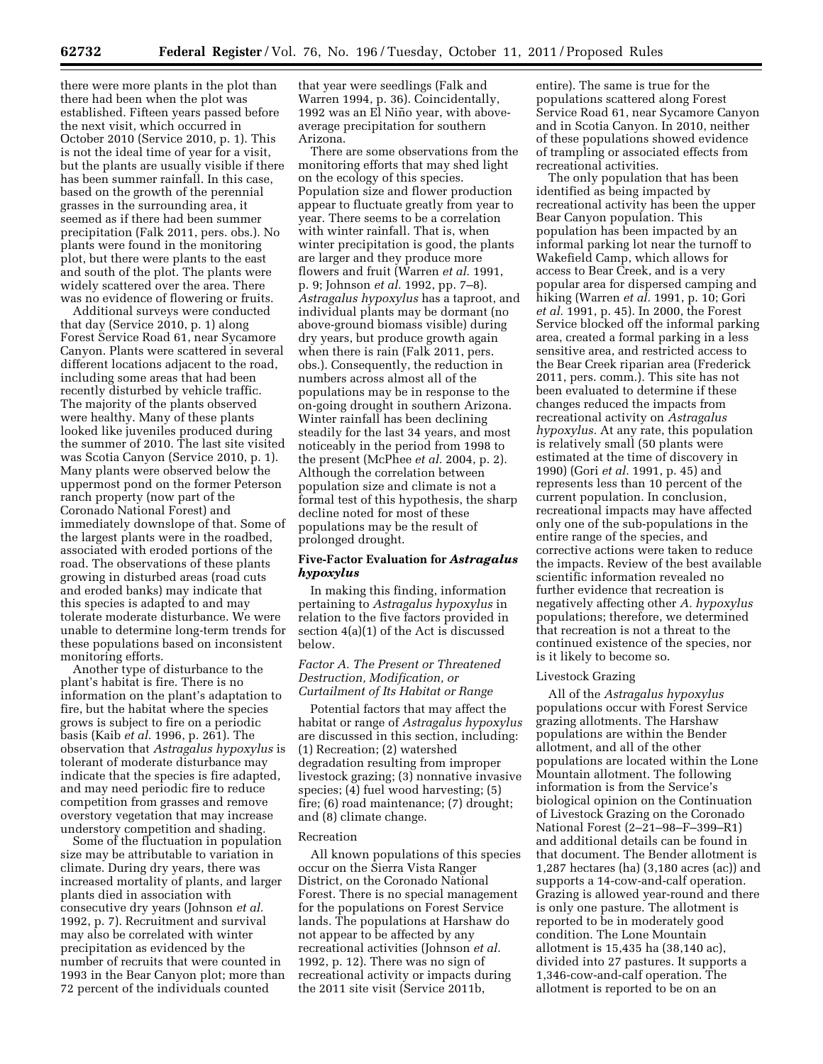there were more plants in the plot than there had been when the plot was established. Fifteen years passed before the next visit, which occurred in October 2010 (Service 2010, p. 1). This is not the ideal time of year for a visit, but the plants are usually visible if there has been summer rainfall. In this case, based on the growth of the perennial grasses in the surrounding area, it seemed as if there had been summer precipitation (Falk 2011, pers. obs.). No plants were found in the monitoring plot, but there were plants to the east and south of the plot. The plants were widely scattered over the area. There was no evidence of flowering or fruits.

Additional surveys were conducted that day (Service 2010, p. 1) along Forest Service Road 61, near Sycamore Canyon. Plants were scattered in several different locations adjacent to the road, including some areas that had been recently disturbed by vehicle traffic. The majority of the plants observed were healthy. Many of these plants looked like juveniles produced during the summer of 2010. The last site visited was Scotia Canyon (Service 2010, p. 1). Many plants were observed below the uppermost pond on the former Peterson ranch property (now part of the Coronado National Forest) and immediately downslope of that. Some of the largest plants were in the roadbed, associated with eroded portions of the road. The observations of these plants growing in disturbed areas (road cuts and eroded banks) may indicate that this species is adapted to and may tolerate moderate disturbance. We were unable to determine long-term trends for these populations based on inconsistent monitoring efforts.

Another type of disturbance to the plant's habitat is fire. There is no information on the plant's adaptation to fire, but the habitat where the species grows is subject to fire on a periodic basis (Kaib *et al.* 1996, p. 261). The observation that *Astragalus hypoxylus* is tolerant of moderate disturbance may indicate that the species is fire adapted, and may need periodic fire to reduce competition from grasses and remove overstory vegetation that may increase understory competition and shading.

Some of the fluctuation in population size may be attributable to variation in climate. During dry years, there was increased mortality of plants, and larger plants died in association with consecutive dry years (Johnson *et al.*  1992, p. 7). Recruitment and survival may also be correlated with winter precipitation as evidenced by the number of recruits that were counted in 1993 in the Bear Canyon plot; more than 72 percent of the individuals counted

that year were seedlings (Falk and Warren 1994, p. 36). Coincidentally, 1992 was an El Niño year, with aboveaverage precipitation for southern Arizona.

There are some observations from the monitoring efforts that may shed light on the ecology of this species. Population size and flower production appear to fluctuate greatly from year to year. There seems to be a correlation with winter rainfall. That is, when winter precipitation is good, the plants are larger and they produce more flowers and fruit (Warren *et al.* 1991, p. 9; Johnson *et al.* 1992, pp. 7–8). *Astragalus hypoxylus* has a taproot, and individual plants may be dormant (no above-ground biomass visible) during dry years, but produce growth again when there is rain (Falk 2011, pers. obs.). Consequently, the reduction in numbers across almost all of the populations may be in response to the on-going drought in southern Arizona. Winter rainfall has been declining steadily for the last 34 years, and most noticeably in the period from 1998 to the present (McPhee *et al.* 2004, p. 2). Although the correlation between population size and climate is not a formal test of this hypothesis, the sharp decline noted for most of these populations may be the result of prolonged drought.

# **Five-Factor Evaluation for** *Astragalus hypoxylus*

In making this finding, information pertaining to *Astragalus hypoxylus* in relation to the five factors provided in section 4(a)(1) of the Act is discussed below.

## *Factor A. The Present or Threatened Destruction, Modification, or Curtailment of Its Habitat or Range*

Potential factors that may affect the habitat or range of *Astragalus hypoxylus*  are discussed in this section, including: (1) Recreation; (2) watershed degradation resulting from improper livestock grazing; (3) nonnative invasive species; (4) fuel wood harvesting; (5) fire; (6) road maintenance; (7) drought; and (8) climate change.

### Recreation

All known populations of this species occur on the Sierra Vista Ranger District, on the Coronado National Forest. There is no special management for the populations on Forest Service lands. The populations at Harshaw do not appear to be affected by any recreational activities (Johnson *et al.*  1992, p. 12). There was no sign of recreational activity or impacts during the 2011 site visit (Service 2011b,

entire). The same is true for the populations scattered along Forest Service Road 61, near Sycamore Canyon and in Scotia Canyon. In 2010, neither of these populations showed evidence of trampling or associated effects from recreational activities.

The only population that has been identified as being impacted by recreational activity has been the upper Bear Canyon population. This population has been impacted by an informal parking lot near the turnoff to Wakefield Camp, which allows for access to Bear Creek, and is a very popular area for dispersed camping and hiking (Warren *et al.* 1991, p. 10; Gori *et al.* 1991, p. 45). In 2000, the Forest Service blocked off the informal parking area, created a formal parking in a less sensitive area, and restricted access to the Bear Creek riparian area (Frederick 2011, pers. comm.). This site has not been evaluated to determine if these changes reduced the impacts from recreational activity on *Astragalus hypoxylus.* At any rate, this population is relatively small (50 plants were estimated at the time of discovery in 1990) (Gori *et al.* 1991, p. 45) and represents less than 10 percent of the current population. In conclusion, recreational impacts may have affected only one of the sub-populations in the entire range of the species, and corrective actions were taken to reduce the impacts. Review of the best available scientific information revealed no further evidence that recreation is negatively affecting other *A. hypoxylus*  populations; therefore, we determined that recreation is not a threat to the continued existence of the species, nor is it likely to become so.

### Livestock Grazing

All of the *Astragalus hypoxylus*  populations occur with Forest Service grazing allotments. The Harshaw populations are within the Bender allotment, and all of the other populations are located within the Lone Mountain allotment. The following information is from the Service's biological opinion on the Continuation of Livestock Grazing on the Coronado National Forest (2-21-98-F-399-R1) and additional details can be found in that document. The Bender allotment is 1,287 hectares (ha) (3,180 acres (ac)) and supports a 14-cow-and-calf operation. Grazing is allowed year-round and there is only one pasture. The allotment is reported to be in moderately good condition. The Lone Mountain allotment is 15,435 ha (38,140 ac), divided into 27 pastures. It supports a 1,346-cow-and-calf operation. The allotment is reported to be on an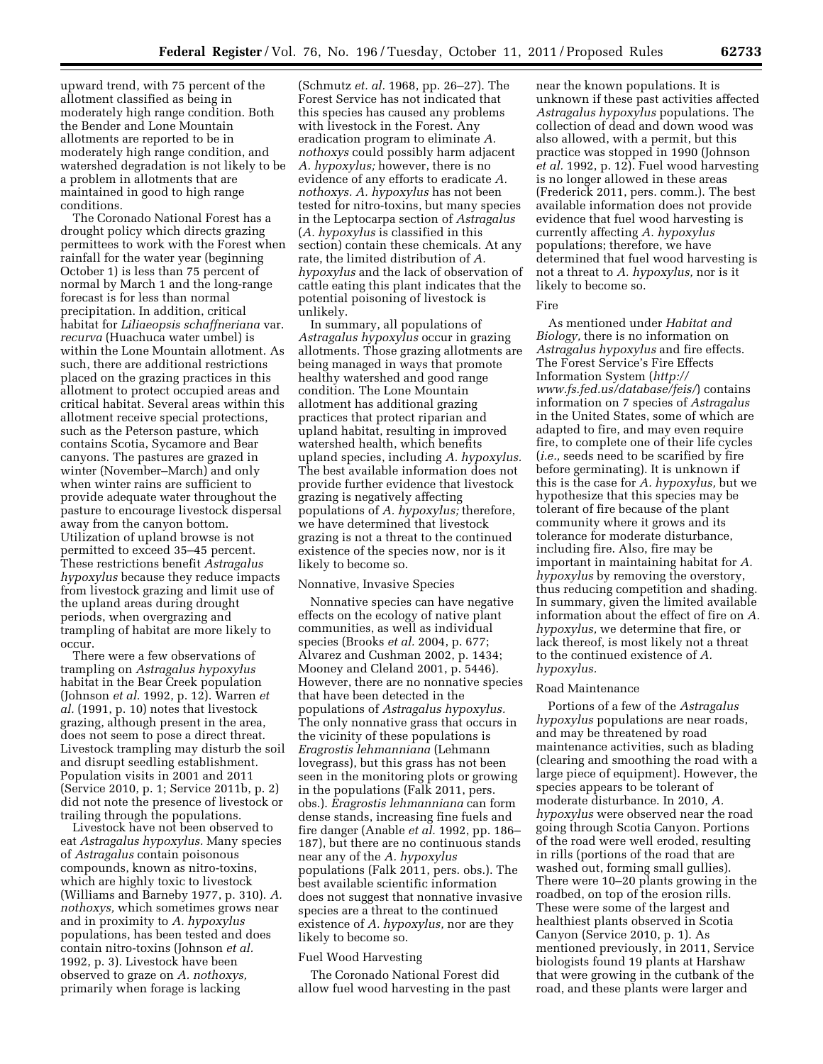upward trend, with 75 percent of the allotment classified as being in moderately high range condition. Both the Bender and Lone Mountain allotments are reported to be in moderately high range condition, and watershed degradation is not likely to be a problem in allotments that are maintained in good to high range conditions.

The Coronado National Forest has a drought policy which directs grazing permittees to work with the Forest when rainfall for the water year (beginning October 1) is less than 75 percent of normal by March 1 and the long-range forecast is for less than normal precipitation. In addition, critical habitat for *Liliaeopsis schaffneriana* var. *recurva* (Huachuca water umbel) is within the Lone Mountain allotment. As such, there are additional restrictions placed on the grazing practices in this allotment to protect occupied areas and critical habitat. Several areas within this allotment receive special protections, such as the Peterson pasture, which contains Scotia, Sycamore and Bear canyons. The pastures are grazed in winter (November–March) and only when winter rains are sufficient to provide adequate water throughout the pasture to encourage livestock dispersal away from the canyon bottom. Utilization of upland browse is not permitted to exceed 35–45 percent. These restrictions benefit *Astragalus hypoxylus* because they reduce impacts from livestock grazing and limit use of the upland areas during drought periods, when overgrazing and trampling of habitat are more likely to occur.

There were a few observations of trampling on *Astragalus hypoxylus*  habitat in the Bear Creek population (Johnson *et al.* 1992, p. 12). Warren *et al.* (1991, p. 10) notes that livestock grazing, although present in the area, does not seem to pose a direct threat. Livestock trampling may disturb the soil and disrupt seedling establishment. Population visits in 2001 and 2011 (Service 2010, p. 1; Service 2011b, p. 2) did not note the presence of livestock or trailing through the populations.

Livestock have not been observed to eat *Astragalus hypoxylus.* Many species of *Astragalus* contain poisonous compounds, known as nitro-toxins, which are highly toxic to livestock (Williams and Barneby 1977, p. 310). *A. nothoxys,* which sometimes grows near and in proximity to *A. hypoxylus*  populations, has been tested and does contain nitro-toxins (Johnson *et al.*  1992, p. 3). Livestock have been observed to graze on *A. nothoxys,*  primarily when forage is lacking

(Schmutz *et. al.* 1968, pp. 26–27). The Forest Service has not indicated that this species has caused any problems with livestock in the Forest. Any eradication program to eliminate *A. nothoxys* could possibly harm adjacent *A. hypoxylus;* however, there is no evidence of any efforts to eradicate *A. nothoxys. A. hypoxylus* has not been tested for nitro-toxins, but many species in the Leptocarpa section of *Astragalus*  (*A. hypoxylus* is classified in this section) contain these chemicals. At any rate, the limited distribution of *A. hypoxylus* and the lack of observation of cattle eating this plant indicates that the potential poisoning of livestock is unlikely.

In summary, all populations of *Astragalus hypoxylus* occur in grazing allotments. Those grazing allotments are being managed in ways that promote healthy watershed and good range condition. The Lone Mountain allotment has additional grazing practices that protect riparian and upland habitat, resulting in improved watershed health, which benefits upland species, including *A. hypoxylus.*  The best available information does not provide further evidence that livestock grazing is negatively affecting populations of *A. hypoxylus;* therefore, we have determined that livestock grazing is not a threat to the continued existence of the species now, nor is it likely to become so.

# Nonnative, Invasive Species

Nonnative species can have negative effects on the ecology of native plant communities, as well as individual species (Brooks *et al.* 2004, p. 677; Alvarez and Cushman 2002, p. 1434; Mooney and Cleland 2001, p. 5446). However, there are no nonnative species that have been detected in the populations of *Astragalus hypoxylus.*  The only nonnative grass that occurs in the vicinity of these populations is *Eragrostis lehmanniana* (Lehmann lovegrass), but this grass has not been seen in the monitoring plots or growing in the populations (Falk 2011, pers. obs.). *Eragrostis lehmanniana* can form dense stands, increasing fine fuels and fire danger (Anable *et al.* 1992, pp. 186– 187), but there are no continuous stands near any of the *A. hypoxylus*  populations (Falk 2011, pers. obs.). The best available scientific information does not suggest that nonnative invasive species are a threat to the continued existence of *A. hypoxylus,* nor are they likely to become so.

# Fuel Wood Harvesting

The Coronado National Forest did allow fuel wood harvesting in the past

near the known populations. It is unknown if these past activities affected *Astragalus hypoxylus* populations. The collection of dead and down wood was also allowed, with a permit, but this practice was stopped in 1990 (Johnson *et al.* 1992, p. 12). Fuel wood harvesting is no longer allowed in these areas (Frederick 2011, pers. comm.). The best available information does not provide evidence that fuel wood harvesting is currently affecting *A. hypoxylus*  populations; therefore, we have determined that fuel wood harvesting is not a threat to *A. hypoxylus,* nor is it likely to become so.

#### Fire

As mentioned under *Habitat and Biology,* there is no information on *Astragalus hypoxylus* and fire effects. The Forest Service's Fire Effects Information System (*[http://](http://www.fs.fed.us/database/feis/) [www.fs.fed.us/database/feis/](http://www.fs.fed.us/database/feis/)*) contains information on 7 species of *Astragalus*  in the United States, some of which are adapted to fire, and may even require fire, to complete one of their life cycles (*i.e.,* seeds need to be scarified by fire before germinating). It is unknown if this is the case for *A. hypoxylus,* but we hypothesize that this species may be tolerant of fire because of the plant community where it grows and its tolerance for moderate disturbance, including fire. Also, fire may be important in maintaining habitat for *A. hypoxylus* by removing the overstory, thus reducing competition and shading. In summary, given the limited available information about the effect of fire on *A. hypoxylus,* we determine that fire, or lack thereof, is most likely not a threat to the continued existence of *A. hypoxylus.* 

#### Road Maintenance

Portions of a few of the *Astragalus hypoxylus* populations are near roads, and may be threatened by road maintenance activities, such as blading (clearing and smoothing the road with a large piece of equipment). However, the species appears to be tolerant of moderate disturbance. In 2010, *A. hypoxylus* were observed near the road going through Scotia Canyon. Portions of the road were well eroded, resulting in rills (portions of the road that are washed out, forming small gullies). There were 10–20 plants growing in the roadbed, on top of the erosion rills. These were some of the largest and healthiest plants observed in Scotia Canyon (Service 2010, p. 1). As mentioned previously, in 2011, Service biologists found 19 plants at Harshaw that were growing in the cutbank of the road, and these plants were larger and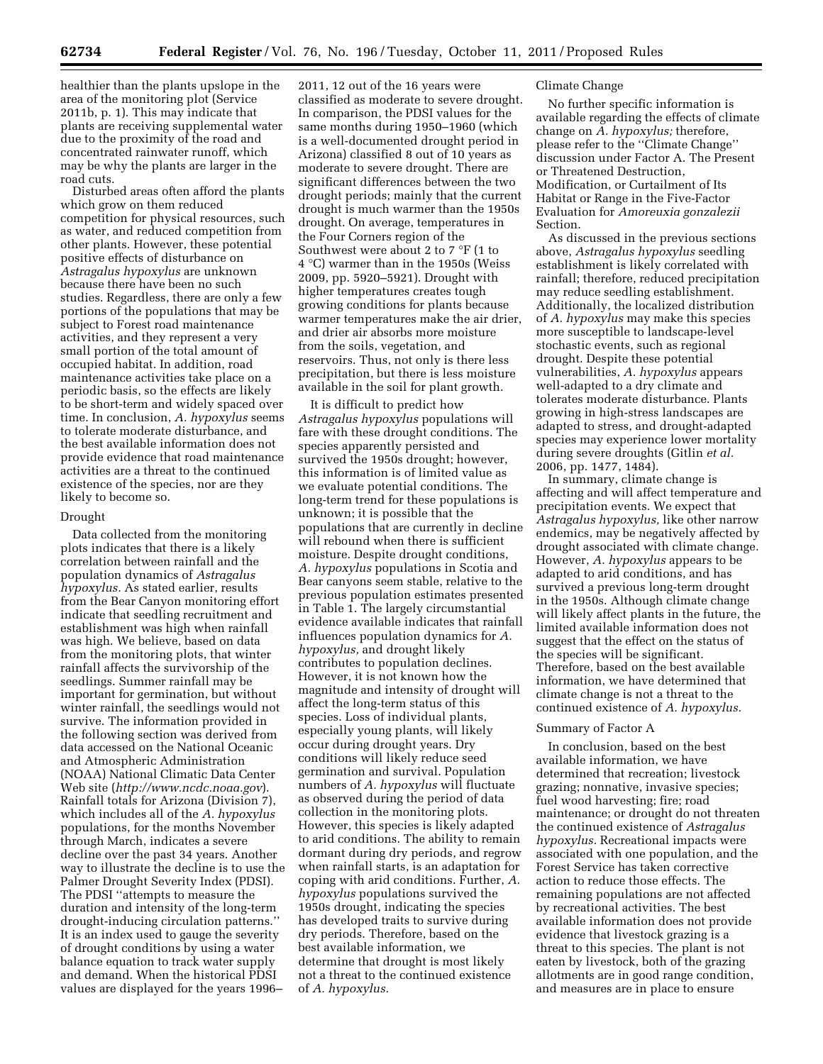healthier than the plants upslope in the area of the monitoring plot (Service 2011b, p. 1). This may indicate that plants are receiving supplemental water due to the proximity of the road and concentrated rainwater runoff, which may be why the plants are larger in the road cuts.

Disturbed areas often afford the plants which grow on them reduced competition for physical resources, such as water, and reduced competition from other plants. However, these potential positive effects of disturbance on *Astragalus hypoxylus* are unknown because there have been no such studies. Regardless, there are only a few portions of the populations that may be subject to Forest road maintenance activities, and they represent a very small portion of the total amount of occupied habitat. In addition, road maintenance activities take place on a periodic basis, so the effects are likely to be short-term and widely spaced over time. In conclusion, *A. hypoxylus* seems to tolerate moderate disturbance, and the best available information does not provide evidence that road maintenance activities are a threat to the continued existence of the species, nor are they likely to become so.

### Drought

Data collected from the monitoring plots indicates that there is a likely correlation between rainfall and the population dynamics of *Astragalus hypoxylus.* As stated earlier, results from the Bear Canyon monitoring effort indicate that seedling recruitment and establishment was high when rainfall was high. We believe, based on data from the monitoring plots, that winter rainfall affects the survivorship of the seedlings. Summer rainfall may be important for germination, but without winter rainfall, the seedlings would not survive. The information provided in the following section was derived from data accessed on the National Oceanic and Atmospheric Administration (NOAA) National Climatic Data Center Web site (*<http://www.ncdc.noaa.gov>*). Rainfall totals for Arizona (Division 7), which includes all of the *A. hypoxylus*  populations, for the months November through March, indicates a severe decline over the past 34 years. Another way to illustrate the decline is to use the Palmer Drought Severity Index (PDSI). The PDSI ''attempts to measure the duration and intensity of the long-term drought-inducing circulation patterns.'' It is an index used to gauge the severity of drought conditions by using a water balance equation to track water supply and demand. When the historical PDSI values are displayed for the years 1996–

2011, 12 out of the 16 years were classified as moderate to severe drought. In comparison, the PDSI values for the same months during 1950–1960 (which is a well-documented drought period in Arizona) classified 8 out of 10 years as moderate to severe drought. There are significant differences between the two drought periods; mainly that the current drought is much warmer than the 1950s drought. On average, temperatures in the Four Corners region of the Southwest were about 2 to 7 °F (1 to 4 °C) warmer than in the 1950s (Weiss 2009, pp. 5920–5921). Drought with higher temperatures creates tough growing conditions for plants because warmer temperatures make the air drier, and drier air absorbs more moisture from the soils, vegetation, and reservoirs. Thus, not only is there less precipitation, but there is less moisture available in the soil for plant growth.

It is difficult to predict how *Astragalus hypoxylus* populations will fare with these drought conditions. The species apparently persisted and survived the 1950s drought; however, this information is of limited value as we evaluate potential conditions. The long-term trend for these populations is unknown; it is possible that the populations that are currently in decline will rebound when there is sufficient moisture. Despite drought conditions, *A. hypoxylus* populations in Scotia and Bear canyons seem stable, relative to the previous population estimates presented in Table 1. The largely circumstantial evidence available indicates that rainfall influences population dynamics for *A. hypoxylus,* and drought likely contributes to population declines. However, it is not known how the magnitude and intensity of drought will affect the long-term status of this species. Loss of individual plants, especially young plants, will likely occur during drought years. Dry conditions will likely reduce seed germination and survival. Population numbers of *A. hypoxylus* will fluctuate as observed during the period of data collection in the monitoring plots. However, this species is likely adapted to arid conditions. The ability to remain dormant during dry periods, and regrow when rainfall starts, is an adaptation for coping with arid conditions. Further, *A. hypoxylus* populations survived the 1950s drought, indicating the species has developed traits to survive during dry periods. Therefore, based on the best available information, we determine that drought is most likely not a threat to the continued existence of *A. hypoxylus.* 

### Climate Change

No further specific information is available regarding the effects of climate change on *A. hypoxylus;* therefore, please refer to the ''Climate Change'' discussion under Factor A. The Present or Threatened Destruction, Modification, or Curtailment of Its Habitat or Range in the Five-Factor Evaluation for *Amoreuxia gonzalezii*  Section.

As discussed in the previous sections above, *Astragalus hypoxylus* seedling establishment is likely correlated with rainfall; therefore, reduced precipitation may reduce seedling establishment. Additionally, the localized distribution of *A. hypoxylus* may make this species more susceptible to landscape-level stochastic events, such as regional drought. Despite these potential vulnerabilities, *A. hypoxylus* appears well-adapted to a dry climate and tolerates moderate disturbance. Plants growing in high-stress landscapes are adapted to stress, and drought-adapted species may experience lower mortality during severe droughts (Gitlin *et al.*  2006, pp. 1477, 1484).

In summary, climate change is affecting and will affect temperature and precipitation events. We expect that *Astragalus hypoxylus,* like other narrow endemics, may be negatively affected by drought associated with climate change. However, *A. hypoxylus* appears to be adapted to arid conditions, and has survived a previous long-term drought in the 1950s. Although climate change will likely affect plants in the future, the limited available information does not suggest that the effect on the status of the species will be significant. Therefore, based on the best available information, we have determined that climate change is not a threat to the continued existence of *A. hypoxylus.* 

### Summary of Factor A

In conclusion, based on the best available information, we have determined that recreation; livestock grazing; nonnative, invasive species; fuel wood harvesting; fire; road maintenance; or drought do not threaten the continued existence of *Astragalus hypoxylus.* Recreational impacts were associated with one population, and the Forest Service has taken corrective action to reduce those effects. The remaining populations are not affected by recreational activities. The best available information does not provide evidence that livestock grazing is a threat to this species. The plant is not eaten by livestock, both of the grazing allotments are in good range condition, and measures are in place to ensure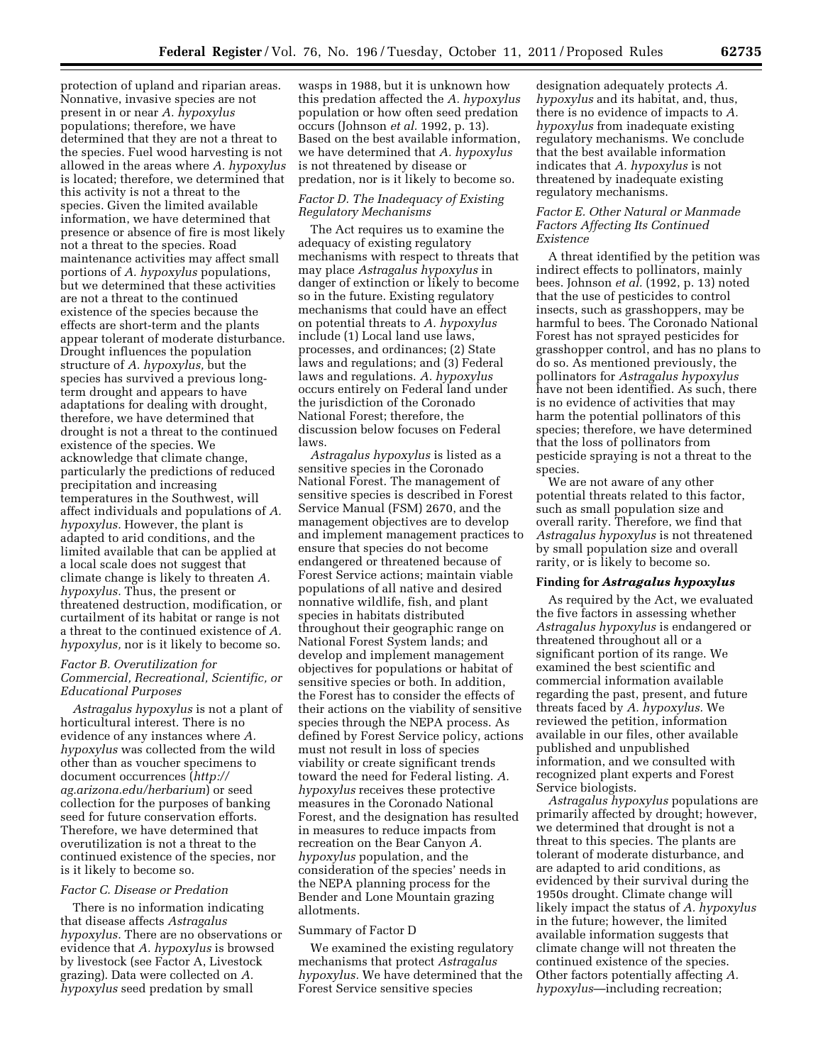protection of upland and riparian areas. Nonnative, invasive species are not present in or near *A. hypoxylus*  populations; therefore, we have determined that they are not a threat to the species. Fuel wood harvesting is not allowed in the areas where *A. hypoxylus*  is located; therefore, we determined that this activity is not a threat to the species. Given the limited available information, we have determined that presence or absence of fire is most likely not a threat to the species. Road maintenance activities may affect small portions of *A. hypoxylus* populations, but we determined that these activities are not a threat to the continued existence of the species because the effects are short-term and the plants appear tolerant of moderate disturbance. Drought influences the population structure of *A. hypoxylus,* but the species has survived a previous longterm drought and appears to have adaptations for dealing with drought, therefore, we have determined that drought is not a threat to the continued existence of the species. We acknowledge that climate change, particularly the predictions of reduced precipitation and increasing temperatures in the Southwest, will affect individuals and populations of *A. hypoxylus.* However, the plant is adapted to arid conditions, and the limited available that can be applied at a local scale does not suggest that climate change is likely to threaten *A. hypoxylus.* Thus, the present or threatened destruction, modification, or curtailment of its habitat or range is not a threat to the continued existence of *A. hypoxylus,* nor is it likely to become so.

## *Factor B. Overutilization for Commercial, Recreational, Scientific, or Educational Purposes*

*Astragalus hypoxylus* is not a plant of horticultural interest. There is no evidence of any instances where *A. hypoxylus* was collected from the wild other than as voucher specimens to document occurrences (*[http://](http://ag.arizona.edu/herbarium) [ag.arizona.edu/herbarium](http://ag.arizona.edu/herbarium)*) or seed collection for the purposes of banking seed for future conservation efforts. Therefore, we have determined that overutilization is not a threat to the continued existence of the species, nor is it likely to become so.

### *Factor C. Disease or Predation*

There is no information indicating that disease affects *Astragalus hypoxylus.* There are no observations or evidence that *A. hypoxylus* is browsed by livestock (see Factor A, Livestock grazing). Data were collected on *A. hypoxylus* seed predation by small

wasps in 1988, but it is unknown how this predation affected the *A. hypoxylus*  population or how often seed predation occurs (Johnson *et al.* 1992, p. 13). Based on the best available information, we have determined that *A. hypoxylus*  is not threatened by disease or predation, nor is it likely to become so.

# *Factor D. The Inadequacy of Existing Regulatory Mechanisms*

The Act requires us to examine the adequacy of existing regulatory mechanisms with respect to threats that may place *Astragalus hypoxylus* in danger of extinction or likely to become so in the future. Existing regulatory mechanisms that could have an effect on potential threats to *A. hypoxylus*  include (1) Local land use laws, processes, and ordinances; (2) State laws and regulations; and (3) Federal laws and regulations. *A. hypoxylus*  occurs entirely on Federal land under the jurisdiction of the Coronado National Forest; therefore, the discussion below focuses on Federal laws.

*Astragalus hypoxylus* is listed as a sensitive species in the Coronado National Forest. The management of sensitive species is described in Forest Service Manual (FSM) 2670, and the management objectives are to develop and implement management practices to ensure that species do not become endangered or threatened because of Forest Service actions; maintain viable populations of all native and desired nonnative wildlife, fish, and plant species in habitats distributed throughout their geographic range on National Forest System lands; and develop and implement management objectives for populations or habitat of sensitive species or both. In addition, the Forest has to consider the effects of their actions on the viability of sensitive species through the NEPA process. As defined by Forest Service policy, actions must not result in loss of species viability or create significant trends toward the need for Federal listing. *A. hypoxylus* receives these protective measures in the Coronado National Forest, and the designation has resulted in measures to reduce impacts from recreation on the Bear Canyon *A. hypoxylus* population, and the consideration of the species' needs in the NEPA planning process for the Bender and Lone Mountain grazing allotments.

#### Summary of Factor D

We examined the existing regulatory mechanisms that protect *Astragalus hypoxylus.* We have determined that the Forest Service sensitive species

designation adequately protects *A. hypoxylus* and its habitat, and, thus, there is no evidence of impacts to *A. hypoxylus* from inadequate existing regulatory mechanisms. We conclude that the best available information indicates that *A. hypoxylus* is not threatened by inadequate existing regulatory mechanisms.

### *Factor E. Other Natural or Manmade Factors Affecting Its Continued Existence*

A threat identified by the petition was indirect effects to pollinators, mainly bees. Johnson *et al.* (1992, p. 13) noted that the use of pesticides to control insects, such as grasshoppers, may be harmful to bees. The Coronado National Forest has not sprayed pesticides for grasshopper control, and has no plans to do so. As mentioned previously, the pollinators for *Astragalus hypoxylus*  have not been identified. As such, there is no evidence of activities that may harm the potential pollinators of this species; therefore, we have determined that the loss of pollinators from pesticide spraying is not a threat to the species.

We are not aware of any other potential threats related to this factor, such as small population size and overall rarity. Therefore, we find that *Astragalus hypoxylus* is not threatened by small population size and overall rarity, or is likely to become so.

### **Finding for** *Astragalus hypoxylus*

As required by the Act, we evaluated the five factors in assessing whether *Astragalus hypoxylus* is endangered or threatened throughout all or a significant portion of its range. We examined the best scientific and commercial information available regarding the past, present, and future threats faced by *A. hypoxylus.* We reviewed the petition, information available in our files, other available published and unpublished information, and we consulted with recognized plant experts and Forest Service biologists.

*Astragalus hypoxylus* populations are primarily affected by drought; however, we determined that drought is not a threat to this species. The plants are tolerant of moderate disturbance, and are adapted to arid conditions, as evidenced by their survival during the 1950s drought. Climate change will likely impact the status of *A. hypoxylus*  in the future; however, the limited available information suggests that climate change will not threaten the continued existence of the species. Other factors potentially affecting *A. hypoxylus*—including recreation;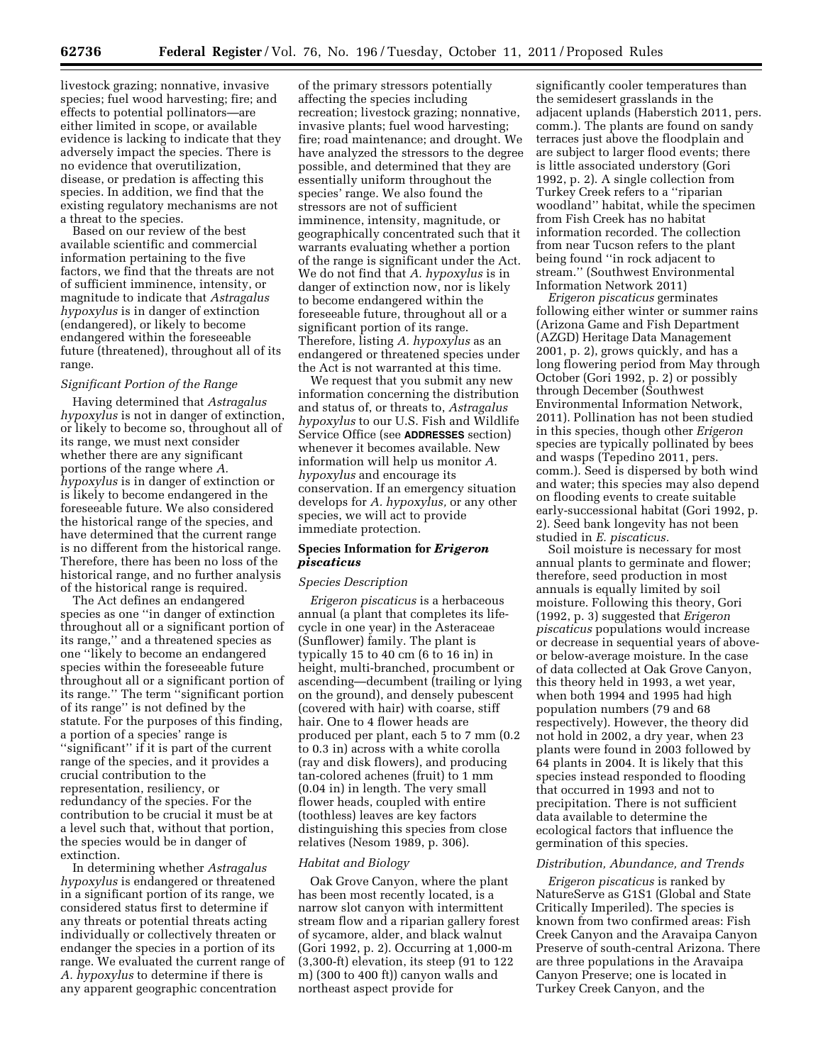livestock grazing; nonnative, invasive species; fuel wood harvesting; fire; and effects to potential pollinators—are either limited in scope, or available evidence is lacking to indicate that they adversely impact the species. There is no evidence that overutilization, disease, or predation is affecting this species. In addition, we find that the existing regulatory mechanisms are not a threat to the species.

Based on our review of the best available scientific and commercial information pertaining to the five factors, we find that the threats are not of sufficient imminence, intensity, or magnitude to indicate that *Astragalus hypoxylus* is in danger of extinction (endangered), or likely to become endangered within the foreseeable future (threatened), throughout all of its range.

### *Significant Portion of the Range*

Having determined that *Astragalus hypoxylus* is not in danger of extinction, or likely to become so, throughout all of its range, we must next consider whether there are any significant portions of the range where *A. hypoxylus* is in danger of extinction or is likely to become endangered in the foreseeable future. We also considered the historical range of the species, and have determined that the current range is no different from the historical range. Therefore, there has been no loss of the historical range, and no further analysis of the historical range is required.

The Act defines an endangered species as one ''in danger of extinction throughout all or a significant portion of its range,'' and a threatened species as one ''likely to become an endangered species within the foreseeable future throughout all or a significant portion of its range.'' The term ''significant portion of its range'' is not defined by the statute. For the purposes of this finding, a portion of a species' range is ''significant'' if it is part of the current range of the species, and it provides a crucial contribution to the representation, resiliency, or redundancy of the species. For the contribution to be crucial it must be at a level such that, without that portion, the species would be in danger of extinction.

In determining whether *Astragalus hypoxylus* is endangered or threatened in a significant portion of its range, we considered status first to determine if any threats or potential threats acting individually or collectively threaten or endanger the species in a portion of its range. We evaluated the current range of *A. hypoxylus* to determine if there is any apparent geographic concentration

of the primary stressors potentially affecting the species including recreation; livestock grazing; nonnative, invasive plants; fuel wood harvesting; fire; road maintenance; and drought. We have analyzed the stressors to the degree possible, and determined that they are essentially uniform throughout the species' range. We also found the stressors are not of sufficient imminence, intensity, magnitude, or geographically concentrated such that it warrants evaluating whether a portion of the range is significant under the Act. We do not find that *A. hypoxylus* is in danger of extinction now, nor is likely to become endangered within the foreseeable future, throughout all or a significant portion of its range. Therefore, listing *A. hypoxylus* as an endangered or threatened species under the Act is not warranted at this time.

We request that you submit any new information concerning the distribution and status of, or threats to, *Astragalus hypoxylus* to our U.S. Fish and Wildlife Service Office (see **ADDRESSES** section) whenever it becomes available. New information will help us monitor *A. hypoxylus* and encourage its conservation. If an emergency situation develops for *A. hypoxylus,* or any other species, we will act to provide immediate protection.

# **Species Information for** *Erigeron piscaticus*

## *Species Description*

*Erigeron piscaticus* is a herbaceous annual (a plant that completes its lifecycle in one year) in the Asteraceae (Sunflower) family. The plant is typically 15 to 40 cm (6 to 16 in) in height, multi-branched, procumbent or ascending—decumbent (trailing or lying on the ground), and densely pubescent (covered with hair) with coarse, stiff hair. One to 4 flower heads are produced per plant, each 5 to 7 mm (0.2 to 0.3 in) across with a white corolla (ray and disk flowers), and producing tan-colored achenes (fruit) to 1 mm (0.04 in) in length. The very small flower heads, coupled with entire (toothless) leaves are key factors distinguishing this species from close relatives (Nesom 1989, p. 306).

### *Habitat and Biology*

Oak Grove Canyon, where the plant has been most recently located, is a narrow slot canyon with intermittent stream flow and a riparian gallery forest of sycamore, alder, and black walnut (Gori 1992, p. 2). Occurring at 1,000-m (3,300-ft) elevation, its steep (91 to 122 m) (300 to 400 ft)) canyon walls and northeast aspect provide for

significantly cooler temperatures than the semidesert grasslands in the adjacent uplands (Haberstich 2011, pers. comm.). The plants are found on sandy terraces just above the floodplain and are subject to larger flood events; there is little associated understory (Gori 1992, p. 2). A single collection from Turkey Creek refers to a ''riparian woodland'' habitat, while the specimen from Fish Creek has no habitat information recorded. The collection from near Tucson refers to the plant being found ''in rock adjacent to stream.'' (Southwest Environmental Information Network 2011)

*Erigeron piscaticus* germinates following either winter or summer rains (Arizona Game and Fish Department (AZGD) Heritage Data Management 2001, p. 2), grows quickly, and has a long flowering period from May through October (Gori 1992, p. 2) or possibly through December (Southwest Environmental Information Network, 2011). Pollination has not been studied in this species, though other *Erigeron*  species are typically pollinated by bees and wasps (Tepedino 2011, pers. comm.). Seed is dispersed by both wind and water; this species may also depend on flooding events to create suitable early-successional habitat (Gori 1992, p. 2). Seed bank longevity has not been studied in *E. piscaticus.* 

Soil moisture is necessary for most annual plants to germinate and flower; therefore, seed production in most annuals is equally limited by soil moisture. Following this theory, Gori (1992, p. 3) suggested that *Erigeron piscaticus* populations would increase or decrease in sequential years of aboveor below-average moisture. In the case of data collected at Oak Grove Canyon, this theory held in 1993, a wet year, when both 1994 and 1995 had high population numbers (79 and 68 respectively). However, the theory did not hold in 2002, a dry year, when 23 plants were found in 2003 followed by 64 plants in 2004. It is likely that this species instead responded to flooding that occurred in 1993 and not to precipitation. There is not sufficient data available to determine the ecological factors that influence the germination of this species.

## *Distribution, Abundance, and Trends*

*Erigeron piscaticus* is ranked by NatureServe as G1S1 (Global and State Critically Imperiled). The species is known from two confirmed areas: Fish Creek Canyon and the Aravaipa Canyon Preserve of south-central Arizona. There are three populations in the Aravaipa Canyon Preserve; one is located in Turkey Creek Canyon, and the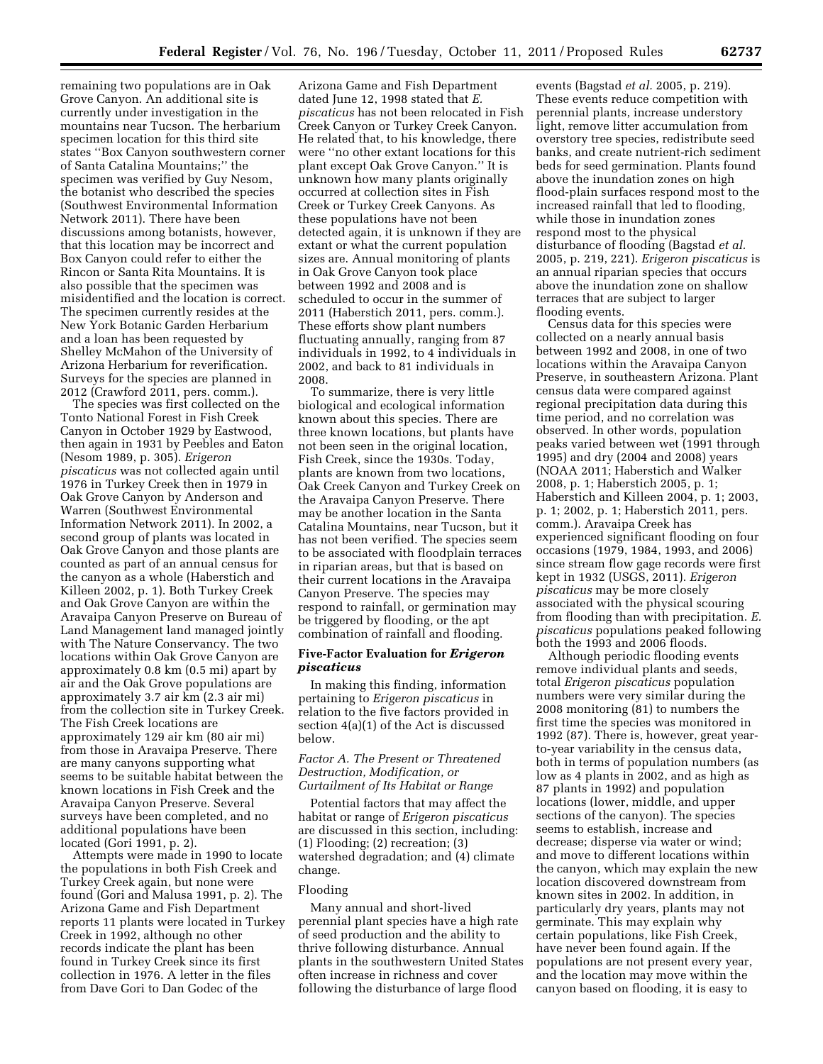remaining two populations are in Oak Grove Canyon. An additional site is currently under investigation in the mountains near Tucson. The herbarium specimen location for this third site states ''Box Canyon southwestern corner of Santa Catalina Mountains;'' the specimen was verified by Guy Nesom, the botanist who described the species (Southwest Environmental Information Network 2011). There have been discussions among botanists, however, that this location may be incorrect and Box Canyon could refer to either the Rincon or Santa Rita Mountains. It is also possible that the specimen was misidentified and the location is correct. The specimen currently resides at the New York Botanic Garden Herbarium and a loan has been requested by Shelley McMahon of the University of Arizona Herbarium for reverification. Surveys for the species are planned in 2012 (Crawford 2011, pers. comm.).

The species was first collected on the Tonto National Forest in Fish Creek Canyon in October 1929 by Eastwood, then again in 1931 by Peebles and Eaton (Nesom 1989, p. 305). *Erigeron piscaticus* was not collected again until 1976 in Turkey Creek then in 1979 in Oak Grove Canyon by Anderson and Warren (Southwest Environmental Information Network 2011). In 2002, a second group of plants was located in Oak Grove Canyon and those plants are counted as part of an annual census for the canyon as a whole (Haberstich and Killeen 2002, p. 1). Both Turkey Creek and Oak Grove Canyon are within the Aravaipa Canyon Preserve on Bureau of Land Management land managed jointly with The Nature Conservancy. The two locations within Oak Grove Canyon are approximately 0.8 km (0.5 mi) apart by air and the Oak Grove populations are approximately 3.7 air km (2.3 air mi) from the collection site in Turkey Creek. The Fish Creek locations are approximately 129 air km (80 air mi) from those in Aravaipa Preserve. There are many canyons supporting what seems to be suitable habitat between the known locations in Fish Creek and the Aravaipa Canyon Preserve. Several surveys have been completed, and no additional populations have been located (Gori 1991, p. 2).

Attempts were made in 1990 to locate the populations in both Fish Creek and Turkey Creek again, but none were found (Gori and Malusa 1991, p. 2). The Arizona Game and Fish Department reports 11 plants were located in Turkey Creek in 1992, although no other records indicate the plant has been found in Turkey Creek since its first collection in 1976. A letter in the files from Dave Gori to Dan Godec of the

Arizona Game and Fish Department dated June 12, 1998 stated that *E. piscaticus* has not been relocated in Fish Creek Canyon or Turkey Creek Canyon. He related that, to his knowledge, there were ''no other extant locations for this plant except Oak Grove Canyon.'' It is unknown how many plants originally occurred at collection sites in Fish Creek or Turkey Creek Canyons. As these populations have not been detected again, it is unknown if they are extant or what the current population sizes are. Annual monitoring of plants in Oak Grove Canyon took place between 1992 and 2008 and is scheduled to occur in the summer of 2011 (Haberstich 2011, pers. comm.). These efforts show plant numbers fluctuating annually, ranging from 87 individuals in 1992, to 4 individuals in 2002, and back to 81 individuals in 2008.

To summarize, there is very little biological and ecological information known about this species. There are three known locations, but plants have not been seen in the original location, Fish Creek, since the 1930s. Today, plants are known from two locations, Oak Creek Canyon and Turkey Creek on the Aravaipa Canyon Preserve. There may be another location in the Santa Catalina Mountains, near Tucson, but it has not been verified. The species seem to be associated with floodplain terraces in riparian areas, but that is based on their current locations in the Aravaipa Canyon Preserve. The species may respond to rainfall, or germination may be triggered by flooding, or the apt combination of rainfall and flooding.

### **Five-Factor Evaluation for** *Erigeron piscaticus*

In making this finding, information pertaining to *Erigeron piscaticus* in relation to the five factors provided in section 4(a)(1) of the Act is discussed below.

## *Factor A. The Present or Threatened Destruction, Modification, or Curtailment of Its Habitat or Range*

Potential factors that may affect the habitat or range of *Erigeron piscaticus*  are discussed in this section, including: (1) Flooding; (2) recreation; (3) watershed degradation; and (4) climate change.

### Flooding

Many annual and short-lived perennial plant species have a high rate of seed production and the ability to thrive following disturbance. Annual plants in the southwestern United States often increase in richness and cover following the disturbance of large flood

events (Bagstad *et al.* 2005, p. 219). These events reduce competition with perennial plants, increase understory light, remove litter accumulation from overstory tree species, redistribute seed banks, and create nutrient-rich sediment beds for seed germination. Plants found above the inundation zones on high flood-plain surfaces respond most to the increased rainfall that led to flooding, while those in inundation zones respond most to the physical disturbance of flooding (Bagstad *et al.*  2005, p. 219, 221). *Erigeron piscaticus* is an annual riparian species that occurs above the inundation zone on shallow terraces that are subject to larger flooding events.

Census data for this species were collected on a nearly annual basis between 1992 and 2008, in one of two locations within the Aravaipa Canyon Preserve, in southeastern Arizona. Plant census data were compared against regional precipitation data during this time period, and no correlation was observed. In other words, population peaks varied between wet (1991 through 1995) and dry (2004 and 2008) years (NOAA 2011; Haberstich and Walker 2008, p. 1; Haberstich 2005, p. 1; Haberstich and Killeen 2004, p. 1; 2003, p. 1; 2002, p. 1; Haberstich 2011, pers. comm.). Aravaipa Creek has experienced significant flooding on four occasions (1979, 1984, 1993, and 2006) since stream flow gage records were first kept in 1932 (USGS, 2011). *Erigeron piscaticus* may be more closely associated with the physical scouring from flooding than with precipitation. *E. piscaticus* populations peaked following both the 1993 and 2006 floods.

Although periodic flooding events remove individual plants and seeds, total *Erigeron piscaticus* population numbers were very similar during the 2008 monitoring (81) to numbers the first time the species was monitored in 1992 (87). There is, however, great yearto-year variability in the census data, both in terms of population numbers (as low as 4 plants in 2002, and as high as 87 plants in 1992) and population locations (lower, middle, and upper sections of the canyon). The species seems to establish, increase and decrease; disperse via water or wind; and move to different locations within the canyon, which may explain the new location discovered downstream from known sites in 2002. In addition, in particularly dry years, plants may not germinate. This may explain why certain populations, like Fish Creek, have never been found again. If the populations are not present every year, and the location may move within the canyon based on flooding, it is easy to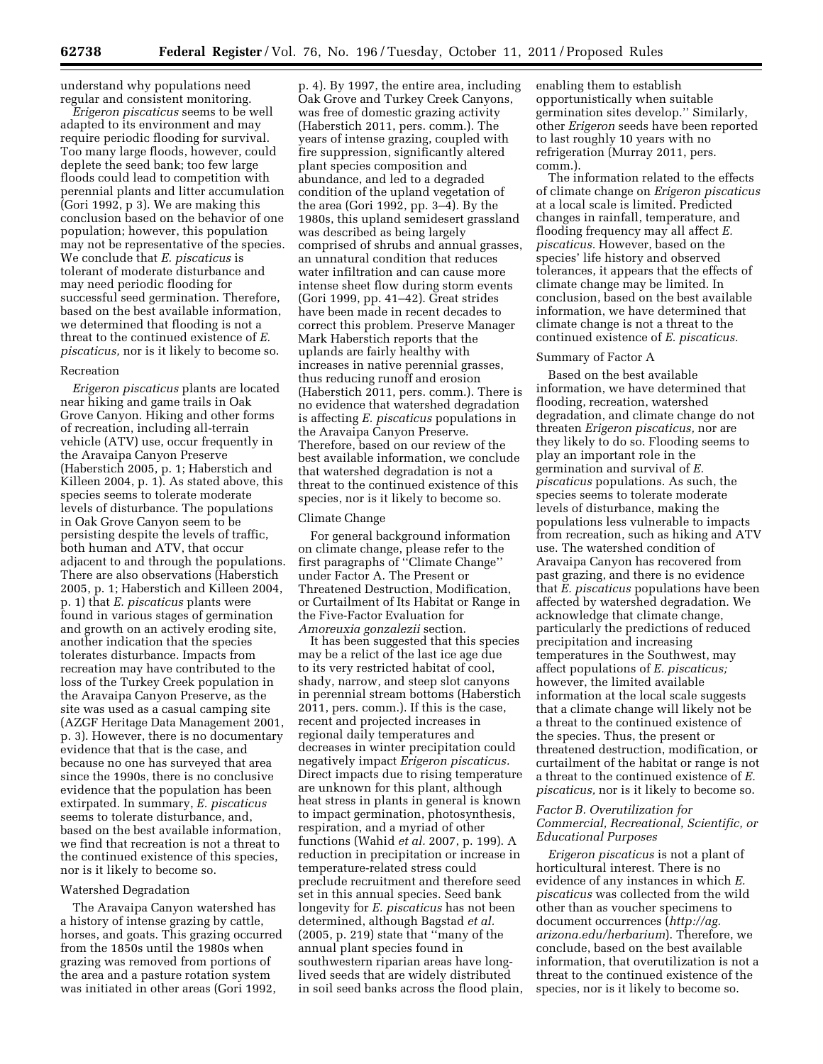understand why populations need regular and consistent monitoring.

*Erigeron piscaticus* seems to be well adapted to its environment and may require periodic flooding for survival. Too many large floods, however, could deplete the seed bank; too few large floods could lead to competition with perennial plants and litter accumulation (Gori 1992, p 3). We are making this conclusion based on the behavior of one population; however, this population may not be representative of the species. We conclude that *E. piscaticus* is tolerant of moderate disturbance and may need periodic flooding for successful seed germination. Therefore, based on the best available information, we determined that flooding is not a threat to the continued existence of *E. piscaticus,* nor is it likely to become so.

#### Recreation

*Erigeron piscaticus* plants are located near hiking and game trails in Oak Grove Canyon. Hiking and other forms of recreation, including all-terrain vehicle (ATV) use, occur frequently in the Aravaipa Canyon Preserve (Haberstich 2005, p. 1; Haberstich and Killeen 2004, p. 1). As stated above, this species seems to tolerate moderate levels of disturbance. The populations in Oak Grove Canyon seem to be persisting despite the levels of traffic, both human and ATV, that occur adjacent to and through the populations. There are also observations (Haberstich 2005, p. 1; Haberstich and Killeen 2004, p. 1) that *E. piscaticus* plants were found in various stages of germination and growth on an actively eroding site, another indication that the species tolerates disturbance. Impacts from recreation may have contributed to the loss of the Turkey Creek population in the Aravaipa Canyon Preserve, as the site was used as a casual camping site (AZGF Heritage Data Management 2001, p. 3). However, there is no documentary evidence that that is the case, and because no one has surveyed that area since the 1990s, there is no conclusive evidence that the population has been extirpated. In summary, *E. piscaticus*  seems to tolerate disturbance, and, based on the best available information, we find that recreation is not a threat to the continued existence of this species, nor is it likely to become so.

# Watershed Degradation

The Aravaipa Canyon watershed has a history of intense grazing by cattle, horses, and goats. This grazing occurred from the 1850s until the 1980s when grazing was removed from portions of the area and a pasture rotation system was initiated in other areas (Gori 1992,

p. 4). By 1997, the entire area, including Oak Grove and Turkey Creek Canyons, was free of domestic grazing activity (Haberstich 2011, pers. comm.). The years of intense grazing, coupled with fire suppression, significantly altered plant species composition and abundance, and led to a degraded condition of the upland vegetation of the area (Gori 1992, pp. 3–4). By the 1980s, this upland semidesert grassland was described as being largely comprised of shrubs and annual grasses, an unnatural condition that reduces water infiltration and can cause more intense sheet flow during storm events (Gori 1999, pp. 41–42). Great strides have been made in recent decades to correct this problem. Preserve Manager Mark Haberstich reports that the uplands are fairly healthy with increases in native perennial grasses, thus reducing runoff and erosion (Haberstich 2011, pers. comm.). There is no evidence that watershed degradation is affecting *E. piscaticus* populations in the Aravaipa Canyon Preserve. Therefore, based on our review of the best available information, we conclude that watershed degradation is not a threat to the continued existence of this species, nor is it likely to become so.

### Climate Change

For general background information on climate change, please refer to the first paragraphs of ''Climate Change'' under Factor A. The Present or Threatened Destruction, Modification, or Curtailment of Its Habitat or Range in the Five-Factor Evaluation for *Amoreuxia gonzalezii* section.

It has been suggested that this species may be a relict of the last ice age due to its very restricted habitat of cool, shady, narrow, and steep slot canyons in perennial stream bottoms (Haberstich 2011, pers. comm.). If this is the case, recent and projected increases in regional daily temperatures and decreases in winter precipitation could negatively impact *Erigeron piscaticus.*  Direct impacts due to rising temperature are unknown for this plant, although heat stress in plants in general is known to impact germination, photosynthesis, respiration, and a myriad of other functions (Wahid *et al.* 2007, p. 199). A reduction in precipitation or increase in temperature-related stress could preclude recruitment and therefore seed set in this annual species. Seed bank longevity for *E. piscaticus* has not been determined, although Bagstad *et al.*  (2005, p. 219) state that ''many of the annual plant species found in southwestern riparian areas have longlived seeds that are widely distributed in soil seed banks across the flood plain,

enabling them to establish opportunistically when suitable germination sites develop.'' Similarly, other *Erigeron* seeds have been reported to last roughly 10 years with no refrigeration (Murray 2011, pers. comm.).

The information related to the effects of climate change on *Erigeron piscaticus*  at a local scale is limited. Predicted changes in rainfall, temperature, and flooding frequency may all affect *E. piscaticus.* However, based on the species' life history and observed tolerances, it appears that the effects of climate change may be limited. In conclusion, based on the best available information, we have determined that climate change is not a threat to the continued existence of *E. piscaticus.* 

# Summary of Factor A

Based on the best available information, we have determined that flooding, recreation, watershed degradation, and climate change do not threaten *Erigeron piscaticus,* nor are they likely to do so. Flooding seems to play an important role in the germination and survival of *E. piscaticus* populations. As such, the species seems to tolerate moderate levels of disturbance, making the populations less vulnerable to impacts from recreation, such as hiking and ATV use. The watershed condition of Aravaipa Canyon has recovered from past grazing, and there is no evidence that *E. piscaticus* populations have been affected by watershed degradation. We acknowledge that climate change, particularly the predictions of reduced precipitation and increasing temperatures in the Southwest, may affect populations of *E. piscaticus;*  however, the limited available information at the local scale suggests that a climate change will likely not be a threat to the continued existence of the species. Thus, the present or threatened destruction, modification, or curtailment of the habitat or range is not a threat to the continued existence of *E. piscaticus,* nor is it likely to become so.

# *Factor B. Overutilization for Commercial, Recreational, Scientific, or Educational Purposes*

*Erigeron piscaticus* is not a plant of horticultural interest. There is no evidence of any instances in which *E. piscaticus* was collected from the wild other than as voucher specimens to document occurrences (*[http://ag.](http://ag.arizona.edu/herbarium) [arizona.edu/herbarium](http://ag.arizona.edu/herbarium)*). Therefore, we conclude, based on the best available information, that overutilization is not a threat to the continued existence of the species, nor is it likely to become so.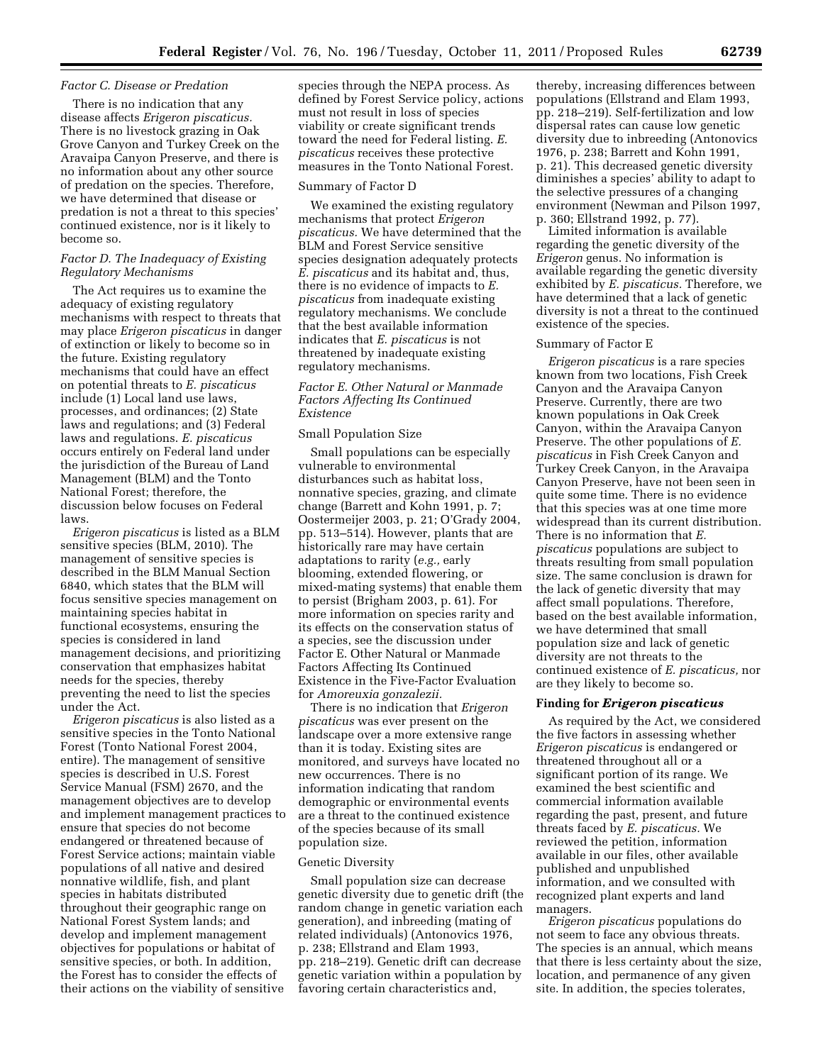#### *Factor C. Disease or Predation*

There is no indication that any disease affects *Erigeron piscaticus.*  There is no livestock grazing in Oak Grove Canyon and Turkey Creek on the Aravaipa Canyon Preserve, and there is no information about any other source of predation on the species. Therefore, we have determined that disease or predation is not a threat to this species' continued existence, nor is it likely to become so.

# *Factor D. The Inadequacy of Existing Regulatory Mechanisms*

The Act requires us to examine the adequacy of existing regulatory mechanisms with respect to threats that may place *Erigeron piscaticus* in danger of extinction or likely to become so in the future. Existing regulatory mechanisms that could have an effect on potential threats to *E. piscaticus*  include (1) Local land use laws, processes, and ordinances; (2) State laws and regulations; and (3) Federal laws and regulations. *E. piscaticus*  occurs entirely on Federal land under the jurisdiction of the Bureau of Land Management (BLM) and the Tonto National Forest; therefore, the discussion below focuses on Federal laws.

*Erigeron piscaticus* is listed as a BLM sensitive species (BLM, 2010). The management of sensitive species is described in the BLM Manual Section 6840, which states that the BLM will focus sensitive species management on maintaining species habitat in functional ecosystems, ensuring the species is considered in land management decisions, and prioritizing conservation that emphasizes habitat needs for the species, thereby preventing the need to list the species under the Act.

*Erigeron piscaticus* is also listed as a sensitive species in the Tonto National Forest (Tonto National Forest 2004, entire). The management of sensitive species is described in U.S. Forest Service Manual (FSM) 2670, and the management objectives are to develop and implement management practices to ensure that species do not become endangered or threatened because of Forest Service actions; maintain viable populations of all native and desired nonnative wildlife, fish, and plant species in habitats distributed throughout their geographic range on National Forest System lands; and develop and implement management objectives for populations or habitat of sensitive species, or both. In addition, the Forest has to consider the effects of their actions on the viability of sensitive

species through the NEPA process. As defined by Forest Service policy, actions must not result in loss of species viability or create significant trends toward the need for Federal listing. *E. piscaticus* receives these protective measures in the Tonto National Forest.

#### Summary of Factor D

We examined the existing regulatory mechanisms that protect *Erigeron piscaticus.* We have determined that the BLM and Forest Service sensitive species designation adequately protects *E. piscaticus* and its habitat and, thus, there is no evidence of impacts to *E. piscaticus* from inadequate existing regulatory mechanisms. We conclude that the best available information indicates that *E. piscaticus* is not threatened by inadequate existing regulatory mechanisms.

# *Factor E. Other Natural or Manmade Factors Affecting Its Continued Existence*

### Small Population Size

Small populations can be especially vulnerable to environmental disturbances such as habitat loss, nonnative species, grazing, and climate change (Barrett and Kohn 1991, p. 7; Oostermeijer 2003, p. 21; O'Grady 2004, pp. 513–514). However, plants that are historically rare may have certain adaptations to rarity (*e.g.,* early blooming, extended flowering, or mixed-mating systems) that enable them to persist (Brigham 2003, p. 61). For more information on species rarity and its effects on the conservation status of a species, see the discussion under Factor E. Other Natural or Manmade Factors Affecting Its Continued Existence in the Five-Factor Evaluation for *Amoreuxia gonzalezii.* 

There is no indication that *Erigeron piscaticus* was ever present on the landscape over a more extensive range than it is today. Existing sites are monitored, and surveys have located no new occurrences. There is no information indicating that random demographic or environmental events are a threat to the continued existence of the species because of its small population size.

### Genetic Diversity

Small population size can decrease genetic diversity due to genetic drift (the random change in genetic variation each generation), and inbreeding (mating of related individuals) (Antonovics 1976, p. 238; Ellstrand and Elam 1993, pp. 218–219). Genetic drift can decrease genetic variation within a population by favoring certain characteristics and,

thereby, increasing differences between populations (Ellstrand and Elam 1993, pp. 218–219). Self-fertilization and low dispersal rates can cause low genetic diversity due to inbreeding (Antonovics 1976, p. 238; Barrett and Kohn 1991, p. 21). This decreased genetic diversity diminishes a species' ability to adapt to the selective pressures of a changing environment (Newman and Pilson 1997, p. 360; Ellstrand 1992, p. 77).

Limited information is available regarding the genetic diversity of the *Erigeron* genus. No information is available regarding the genetic diversity exhibited by *E. piscaticus.* Therefore, we have determined that a lack of genetic diversity is not a threat to the continued existence of the species.

### Summary of Factor E

*Erigeron piscaticus* is a rare species known from two locations, Fish Creek Canyon and the Aravaipa Canyon Preserve. Currently, there are two known populations in Oak Creek Canyon, within the Aravaipa Canyon Preserve. The other populations of *E. piscaticus* in Fish Creek Canyon and Turkey Creek Canyon, in the Aravaipa Canyon Preserve, have not been seen in quite some time. There is no evidence that this species was at one time more widespread than its current distribution. There is no information that *E. piscaticus* populations are subject to threats resulting from small population size. The same conclusion is drawn for the lack of genetic diversity that may affect small populations. Therefore, based on the best available information, we have determined that small population size and lack of genetic diversity are not threats to the continued existence of *E. piscaticus,* nor are they likely to become so.

### **Finding for** *Erigeron piscaticus*

As required by the Act, we considered the five factors in assessing whether *Erigeron piscaticus* is endangered or threatened throughout all or a significant portion of its range. We examined the best scientific and commercial information available regarding the past, present, and future threats faced by *E. piscaticus.* We reviewed the petition, information available in our files, other available published and unpublished information, and we consulted with recognized plant experts and land managers.

*Erigeron piscaticus* populations do not seem to face any obvious threats. The species is an annual, which means that there is less certainty about the size, location, and permanence of any given site. In addition, the species tolerates,